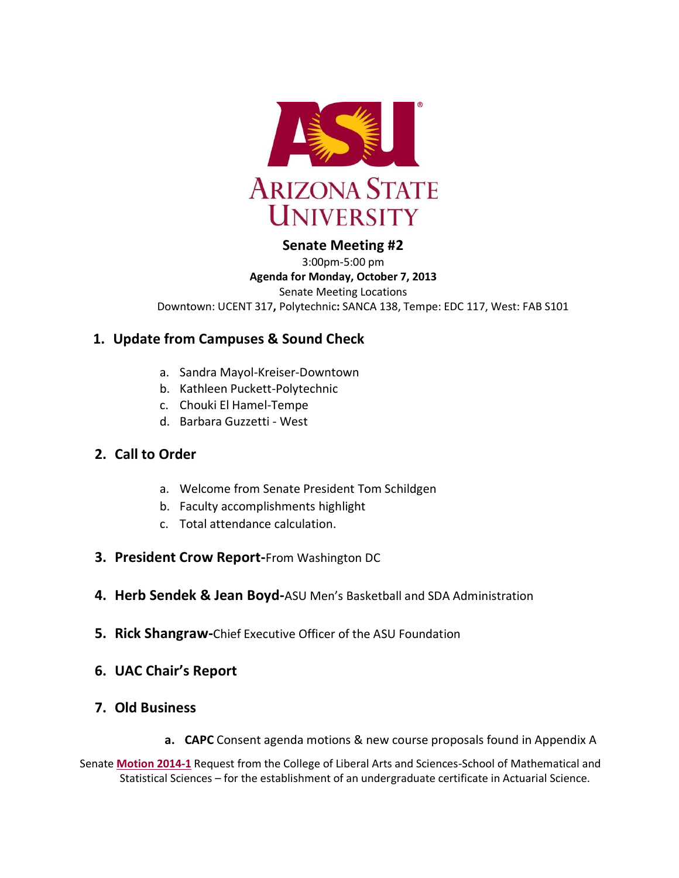

## **Senate Meeting #2**

3:00pm-5:00 pm **Agenda for Monday, October 7, 2013** Senate Meeting Locations Downtown: UCENT 317**,** Polytechnic**:** SANCA 138, Tempe: EDC 117, West: FAB S101

## **1. Update from Campuses & Sound Check**

- a. Sandra Mayol-Kreiser-Downtown
- b. Kathleen Puckett-Polytechnic
- c. Chouki El Hamel-Tempe
- d. Barbara Guzzetti West

## **2. Call to Order**

- a. Welcome from Senate President Tom Schildgen
- b. Faculty accomplishments highlight
- c. Total attendance calculation.
- **3. President Crow Report-**From Washington DC
- **4. Herb Sendek & Jean Boyd-**ASU Men's Basketball and SDA Administration
- **5. Rick Shangraw-**Chief Executive Officer of the ASU Foundation
- **6. UAC Chair's Report**
- **7. Old Business**
	- **a. CAPC** Consent agenda motions & new course proposals found in Appendix A

Senate **[Motion 2014-1](http://usenate.asu.edu/node/4734)** Request from the College of Liberal Arts and Sciences-School of Mathematical and Statistical Sciences – for the establishment of an undergraduate certificate in Actuarial Science.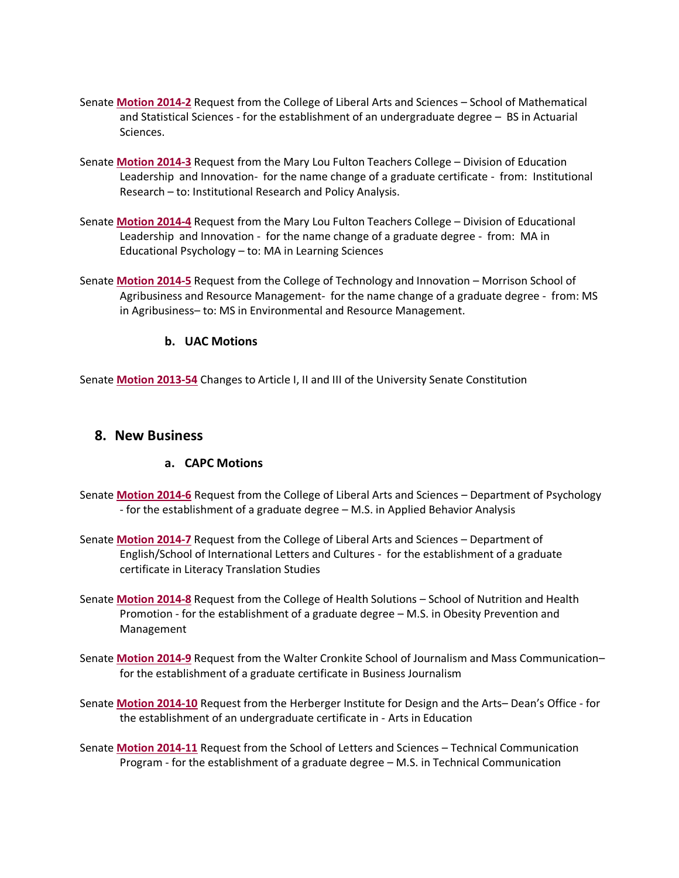- Senate **[Motion 2014-2](http://usenate.asu.edu/node/4735)** Request from the College of Liberal Arts and Sciences School of Mathematical and Statistical Sciences - for the establishment of an undergraduate degree – BS in Actuarial Sciences.
- Senate **[Motion 2014-3](http://usenate.asu.edu/node/4736)** Request from the Mary Lou Fulton Teachers College Division of Education Leadership and Innovation- for the name change of a graduate certificate - from: Institutional Research – to: Institutional Research and Policy Analysis.
- Senate **[Motion 2014-4](http://usenate.asu.edu/node/4737)** Request from the Mary Lou Fulton Teachers College Division of Educational Leadership and Innovation - for the name change of a graduate degree - from: MA in Educational Psychology – to: MA in Learning Sciences
- Senate **[Motion 2014-5](http://usenate.asu.edu/node/4738)** Request from the College of Technology and Innovation Morrison School of Agribusiness and Resource Management- for the name change of a graduate degree - from: MS in Agribusiness– to: MS in Environmental and Resource Management.

#### **b. UAC Motions**

Senate **[Motion 2013-54](http://usenate.asu.edu/node/4532)** Changes to Article I, II and III of the University Senate Constitution

#### **8. New Business**

#### **a. CAPC Motions**

- Senate **[Motion 2014-6](http://usenate.asu.edu/node/4778)** Request from the College of Liberal Arts and Sciences Department of Psychology - for the establishment of a graduate degree – M.S. in Applied Behavior Analysis
- Senate **[Motion 2014-7](http://usenate.asu.edu/node/4779)** Request from the College of Liberal Arts and Sciences Department of English/School of International Letters and Cultures - for the establishment of a graduate certificate in Literacy Translation Studies
- Senate **[Motion 2014-8](http://usenate.asu.edu/node/4780)** Request from the College of Health Solutions School of Nutrition and Health Promotion - for the establishment of a graduate degree – M.S. in Obesity Prevention and Management
- Senate **[Motion 2014-9](http://usenate.asu.edu/node/4781)** Request from the Walter Cronkite School of Journalism and Mass Communication– for the establishment of a graduate certificate in Business Journalism
- Senate **[Motion 2014-10](http://usenate.asu.edu/node/4783)** Request from the Herberger Institute for Design and the Arts– Dean's Office for the establishment of an undergraduate certificate in - Arts in Education
- Senate **[Motion 2014-11](http://usenate.asu.edu/node/4784)** Request from the School of Letters and Sciences Technical Communication Program - for the establishment of a graduate degree – M.S. in Technical Communication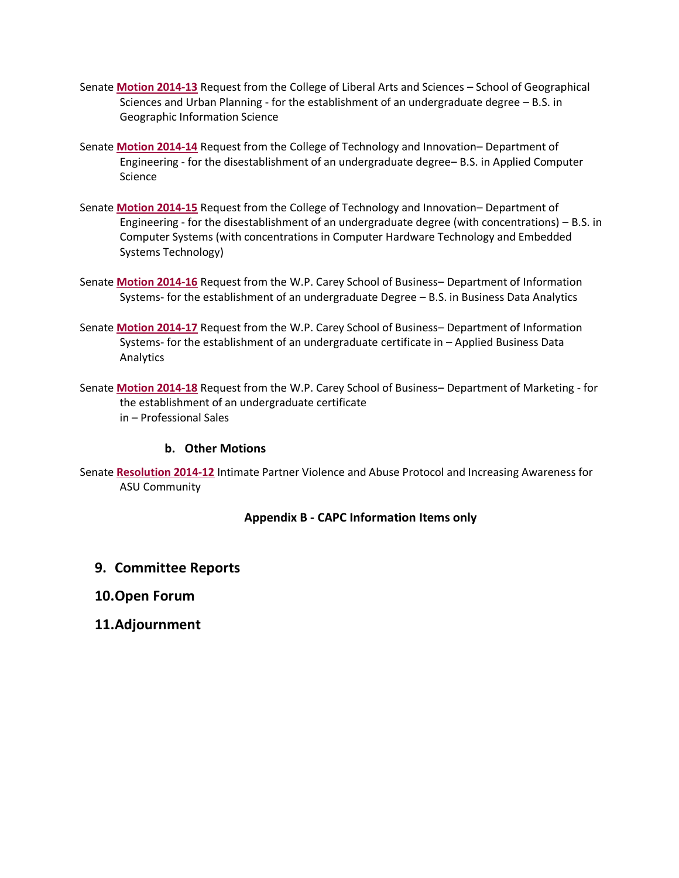- Senate **[Motion 2014-13](http://usenate.asu.edu/node/4786)** Request from the College of Liberal Arts and Sciences School of Geographical Sciences and Urban Planning - for the establishment of an undergraduate degree – B.S. in Geographic Information Science
- Senate **[Motion 2014-14](http://usenate.asu.edu/node/4788)** Request from the College of Technology and Innovation– Department of Engineering - for the disestablishment of an undergraduate degree– B.S. in Applied Computer Science
- Senate **[Motion 2014-15](http://usenate.asu.edu/node/4789)** Request from the College of Technology and Innovation– Department of Engineering - for the disestablishment of an undergraduate degree (with concentrations) – B.S. in Computer Systems (with concentrations in Computer Hardware Technology and Embedded Systems Technology)
- Senate **[Motion 2014-16](http://usenate.asu.edu/node/4790)** Request from the W.P. Carey School of Business– Department of Information Systems- for the establishment of an undergraduate Degree – B.S. in Business Data Analytics
- Senate **[Motion 2014-17](http://usenate.asu.edu/node/4791)** Request from the W.P. Carey School of Business– Department of Information Systems- for the establishment of an undergraduate certificate in – Applied Business Data Analytics
- Senate **[Motion 2014-18](http://usenate.asu.edu/node/4792)** Request from the W.P. Carey School of Business– Department of Marketing for the establishment of an undergraduate certificate in – Professional Sales

#### **b. Other Motions**

Senate **[Resolution 2014-12](http://usenate.asu.edu/node/4785)** Intimate Partner Violence and Abuse Protocol and Increasing Awareness for ASU Community

#### **Appendix B - CAPC Information Items only**

- **9. Committee Reports**
- **10.Open Forum**
- **11.Adjournment**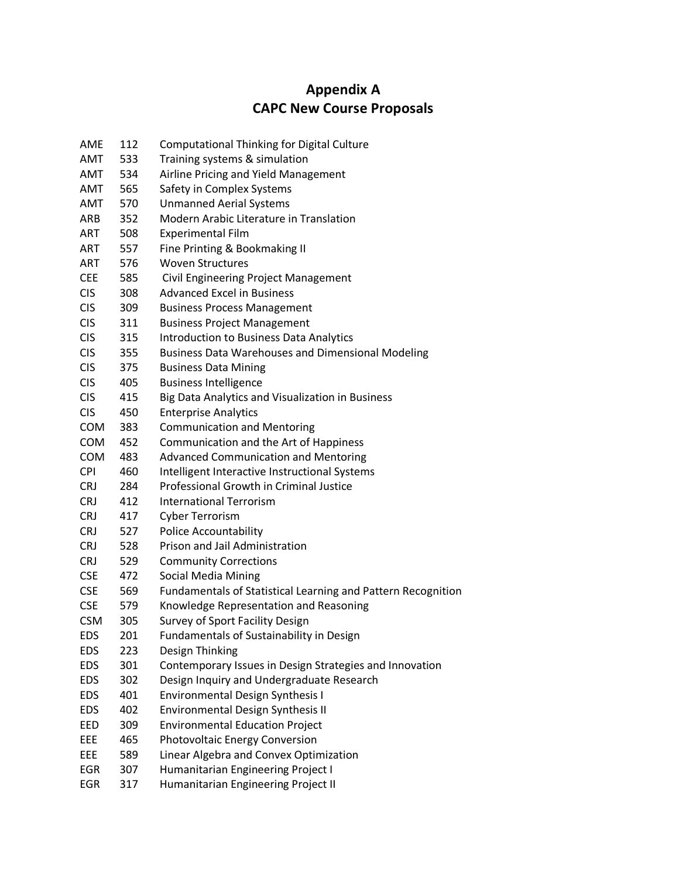## **Appendix A CAPC New Course Proposals**

| AME        | 112 | <b>Computational Thinking for Digital Culture</b>            |
|------------|-----|--------------------------------------------------------------|
| <b>AMT</b> | 533 | Training systems & simulation                                |
| <b>AMT</b> | 534 | Airline Pricing and Yield Management                         |
| AMT        | 565 | Safety in Complex Systems                                    |
| AMT        | 570 | <b>Unmanned Aerial Systems</b>                               |
| ARB        | 352 | Modern Arabic Literature in Translation                      |
| ART        | 508 | <b>Experimental Film</b>                                     |
| ART        | 557 | Fine Printing & Bookmaking II                                |
| ART        | 576 | <b>Woven Structures</b>                                      |
| <b>CEE</b> | 585 | Civil Engineering Project Management                         |
| <b>CIS</b> | 308 | <b>Advanced Excel in Business</b>                            |
| <b>CIS</b> | 309 | <b>Business Process Management</b>                           |
| <b>CIS</b> | 311 | <b>Business Project Management</b>                           |
| <b>CIS</b> | 315 | <b>Introduction to Business Data Analytics</b>               |
| <b>CIS</b> | 355 | <b>Business Data Warehouses and Dimensional Modeling</b>     |
| <b>CIS</b> | 375 | <b>Business Data Mining</b>                                  |
| <b>CIS</b> | 405 | <b>Business Intelligence</b>                                 |
| <b>CIS</b> | 415 | Big Data Analytics and Visualization in Business             |
| <b>CIS</b> | 450 | <b>Enterprise Analytics</b>                                  |
| COM        | 383 | <b>Communication and Mentoring</b>                           |
| <b>COM</b> | 452 | Communication and the Art of Happiness                       |
| <b>COM</b> | 483 | <b>Advanced Communication and Mentoring</b>                  |
| <b>CPI</b> | 460 | Intelligent Interactive Instructional Systems                |
| <b>CRJ</b> | 284 | <b>Professional Growth in Criminal Justice</b>               |
| <b>CRJ</b> | 412 | <b>International Terrorism</b>                               |
| <b>CRJ</b> | 417 | <b>Cyber Terrorism</b>                                       |
| <b>CRJ</b> | 527 | <b>Police Accountability</b>                                 |
| <b>CRJ</b> | 528 | Prison and Jail Administration                               |
| <b>CRJ</b> | 529 | <b>Community Corrections</b>                                 |
| <b>CSE</b> | 472 | <b>Social Media Mining</b>                                   |
| <b>CSE</b> | 569 | Fundamentals of Statistical Learning and Pattern Recognition |
| <b>CSE</b> | 579 | Knowledge Representation and Reasoning                       |
| <b>CSM</b> | 305 | Survey of Sport Facility Design                              |
| EDS        | 201 | Fundamentals of Sustainability in Design                     |
| <b>EDS</b> | 223 | Design Thinking                                              |
| <b>EDS</b> | 301 | Contemporary Issues in Design Strategies and Innovation      |
| <b>EDS</b> | 302 | Design Inquiry and Undergraduate Research                    |
| <b>EDS</b> | 401 | <b>Environmental Design Synthesis I</b>                      |
| <b>EDS</b> | 402 | <b>Environmental Design Synthesis II</b>                     |
| EED        | 309 | <b>Environmental Education Project</b>                       |
| EEE        | 465 | Photovoltaic Energy Conversion                               |
| EEE        | 589 | Linear Algebra and Convex Optimization                       |
| EGR        | 307 | Humanitarian Engineering Project I                           |
| EGR        | 317 | Humanitarian Engineering Project II                          |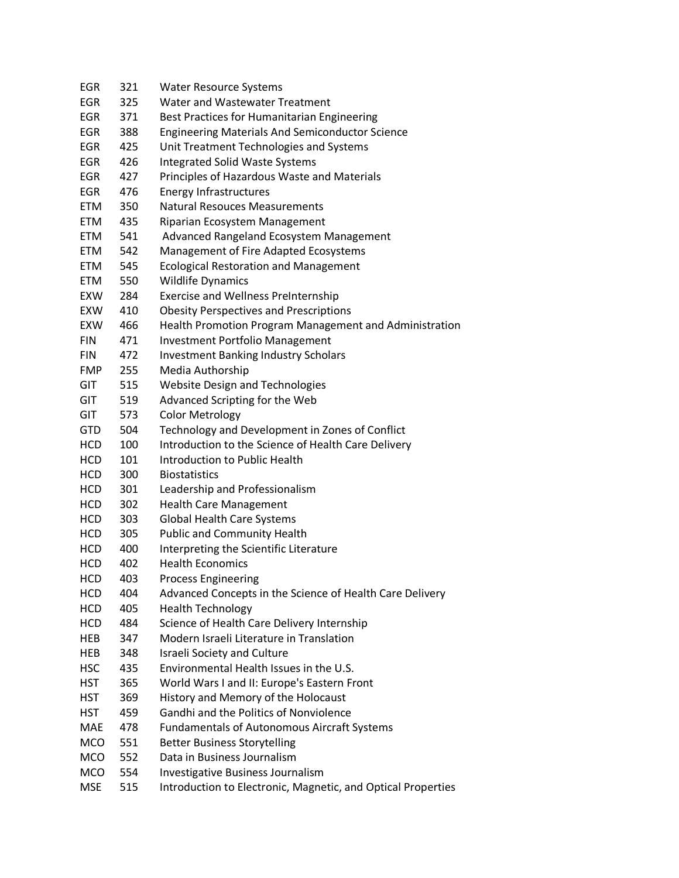| <b>EGR</b> | 321 | <b>Water Resource Systems</b>                                |
|------------|-----|--------------------------------------------------------------|
| <b>EGR</b> | 325 | Water and Wastewater Treatment                               |
| EGR        | 371 | Best Practices for Humanitarian Engineering                  |
| EGR        | 388 | <b>Engineering Materials And Semiconductor Science</b>       |
| <b>EGR</b> | 425 | Unit Treatment Technologies and Systems                      |
| EGR        | 426 | <b>Integrated Solid Waste Systems</b>                        |
| <b>EGR</b> | 427 | Principles of Hazardous Waste and Materials                  |
| <b>EGR</b> | 476 | <b>Energy Infrastructures</b>                                |
| <b>ETM</b> | 350 | <b>Natural Resouces Measurements</b>                         |
| <b>ETM</b> | 435 | Riparian Ecosystem Management                                |
| <b>ETM</b> | 541 | Advanced Rangeland Ecosystem Management                      |
| <b>ETM</b> | 542 | Management of Fire Adapted Ecosystems                        |
| <b>ETM</b> | 545 | <b>Ecological Restoration and Management</b>                 |
| <b>ETM</b> | 550 | <b>Wildlife Dynamics</b>                                     |
| <b>EXW</b> | 284 | <b>Exercise and Wellness PreInternship</b>                   |
| <b>EXW</b> | 410 | <b>Obesity Perspectives and Prescriptions</b>                |
| <b>EXW</b> | 466 | Health Promotion Program Management and Administration       |
| <b>FIN</b> | 471 | <b>Investment Portfolio Management</b>                       |
| <b>FIN</b> | 472 | <b>Investment Banking Industry Scholars</b>                  |
| <b>FMP</b> | 255 | Media Authorship                                             |
| <b>GIT</b> | 515 | <b>Website Design and Technologies</b>                       |
| GIT        | 519 | Advanced Scripting for the Web                               |
| GIT        | 573 | <b>Color Metrology</b>                                       |
| <b>GTD</b> | 504 | Technology and Development in Zones of Conflict              |
| <b>HCD</b> | 100 | Introduction to the Science of Health Care Delivery          |
| <b>HCD</b> | 101 | Introduction to Public Health                                |
| HCD        | 300 | <b>Biostatistics</b>                                         |
| HCD        | 301 | Leadership and Professionalism                               |
| HCD        | 302 | <b>Health Care Management</b>                                |
| <b>HCD</b> | 303 | Global Health Care Systems                                   |
| HCD        | 305 | <b>Public and Community Health</b>                           |
| HCD        | 400 | Interpreting the Scientific Literature                       |
| <b>HCD</b> | 402 | <b>Health Economics</b>                                      |
| HCD        | 403 | <b>Process Engineering</b>                                   |
| HCD        | 404 | Advanced Concepts in the Science of Health Care Delivery     |
| <b>HCD</b> | 405 | <b>Health Technology</b>                                     |
| <b>HCD</b> | 484 | Science of Health Care Delivery Internship                   |
| <b>HEB</b> | 347 | Modern Israeli Literature in Translation                     |
| HEB        | 348 | <b>Israeli Society and Culture</b>                           |
| <b>HSC</b> | 435 | Environmental Health Issues in the U.S.                      |
| HST        | 365 | World Wars I and II: Europe's Eastern Front                  |
| HST        | 369 | History and Memory of the Holocaust                          |
| <b>HST</b> | 459 | Gandhi and the Politics of Nonviolence                       |
| MAE        | 478 | Fundamentals of Autonomous Aircraft Systems                  |
| <b>MCO</b> | 551 | <b>Better Business Storytelling</b>                          |
| <b>MCO</b> | 552 | Data in Business Journalism                                  |
| <b>MCO</b> | 554 | Investigative Business Journalism                            |
| <b>MSE</b> | 515 | Introduction to Electronic, Magnetic, and Optical Properties |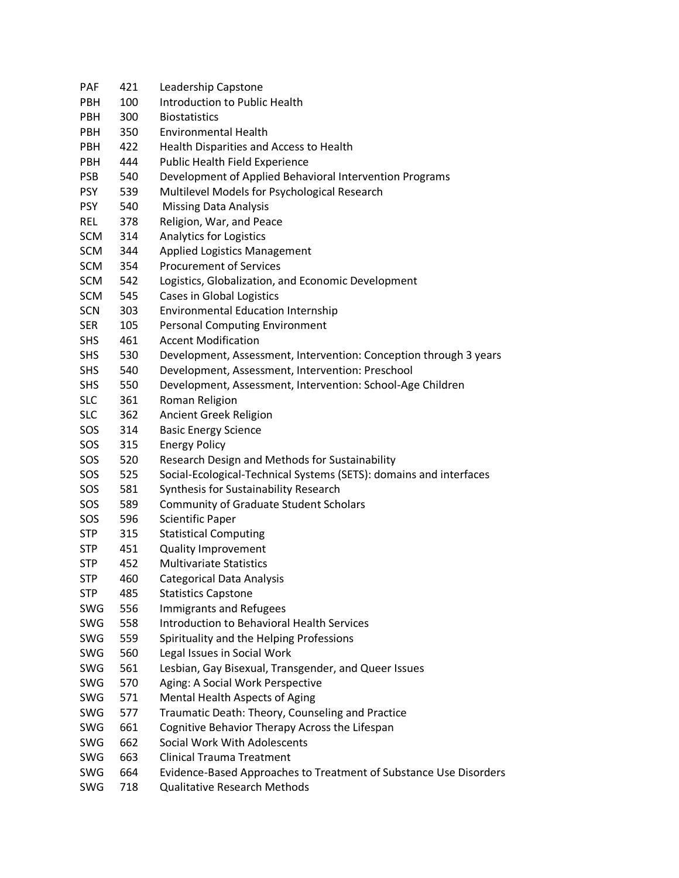| PAF        | 421 | Leadership Capstone                                                |
|------------|-----|--------------------------------------------------------------------|
| PBH        | 100 | Introduction to Public Health                                      |
| <b>PBH</b> | 300 | <b>Biostatistics</b>                                               |
| PBH        | 350 | <b>Environmental Health</b>                                        |
| <b>PBH</b> | 422 | Health Disparities and Access to Health                            |
| <b>PBH</b> | 444 | Public Health Field Experience                                     |
| <b>PSB</b> | 540 | Development of Applied Behavioral Intervention Programs            |
| <b>PSY</b> | 539 | Multilevel Models for Psychological Research                       |
| <b>PSY</b> | 540 | <b>Missing Data Analysis</b>                                       |
| REL        | 378 | Religion, War, and Peace                                           |
| SCM        | 314 | <b>Analytics for Logistics</b>                                     |
| SCM        | 344 | <b>Applied Logistics Management</b>                                |
| SCM        | 354 | <b>Procurement of Services</b>                                     |
| SCM        | 542 | Logistics, Globalization, and Economic Development                 |
| <b>SCM</b> | 545 | Cases in Global Logistics                                          |
| <b>SCN</b> | 303 | <b>Environmental Education Internship</b>                          |
| <b>SER</b> | 105 | <b>Personal Computing Environment</b>                              |
| <b>SHS</b> | 461 | <b>Accent Modification</b>                                         |
| <b>SHS</b> | 530 | Development, Assessment, Intervention: Conception through 3 years  |
| <b>SHS</b> | 540 | Development, Assessment, Intervention: Preschool                   |
| <b>SHS</b> | 550 | Development, Assessment, Intervention: School-Age Children         |
| <b>SLC</b> | 361 | Roman Religion                                                     |
| <b>SLC</b> | 362 | Ancient Greek Religion                                             |
| SOS        | 314 | <b>Basic Energy Science</b>                                        |
| SOS        | 315 | <b>Energy Policy</b>                                               |
| SOS        | 520 | Research Design and Methods for Sustainability                     |
| SOS        | 525 | Social-Ecological-Technical Systems (SETS): domains and interfaces |
| SOS        | 581 | Synthesis for Sustainability Research                              |
| SOS        | 589 | <b>Community of Graduate Student Scholars</b>                      |
| SOS        | 596 | <b>Scientific Paper</b>                                            |
| <b>STP</b> | 315 | <b>Statistical Computing</b>                                       |
| <b>STP</b> | 451 | <b>Quality Improvement</b>                                         |
| <b>STP</b> | 452 | <b>Multivariate Statistics</b>                                     |
| <b>STP</b> | 460 | <b>Categorical Data Analysis</b>                                   |
| <b>STP</b> | 485 | <b>Statistics Capstone</b>                                         |
| SWG        | 556 | Immigrants and Refugees                                            |
| SWG        | 558 | <b>Introduction to Behavioral Health Services</b>                  |
| SWG        | 559 | Spirituality and the Helping Professions                           |
| SWG        | 560 | Legal Issues in Social Work                                        |
| SWG        | 561 | Lesbian, Gay Bisexual, Transgender, and Queer Issues               |
| <b>SWG</b> | 570 | Aging: A Social Work Perspective                                   |
| SWG        | 571 | Mental Health Aspects of Aging                                     |
| SWG        | 577 | Traumatic Death: Theory, Counseling and Practice                   |
| SWG        | 661 | Cognitive Behavior Therapy Across the Lifespan                     |
| SWG        | 662 | Social Work With Adolescents                                       |
| SWG        | 663 | <b>Clinical Trauma Treatment</b>                                   |
| SWG        | 664 | Evidence-Based Approaches to Treatment of Substance Use Disorders  |
| SWG        | 718 | <b>Qualitative Research Methods</b>                                |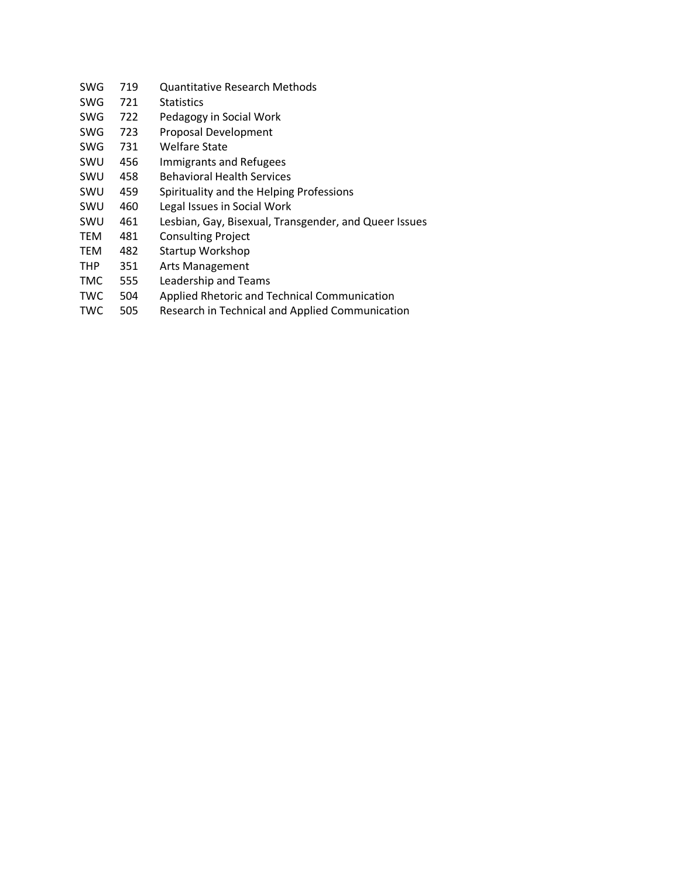- SWG 719 Quantitative Research Methods
- SWG 721 Statistics
- SWG 722 Pedagogy in Social Work
- SWG 723 Proposal Development
- SWG 731 Welfare State
- SWU 456 Immigrants and Refugees
- SWU 458 Behavioral Health Services
- SWU 459 Spirituality and the Helping Professions
- SWU 460 Legal Issues in Social Work
- SWU 461 Lesbian, Gay, Bisexual, Transgender, and Queer Issues
- TEM 481 Consulting Project
- TEM 482 Startup Workshop
- THP 351 Arts Management
- TMC 555 Leadership and Teams
- TWC 504 Applied Rhetoric and Technical Communication
- TWC 505 Research in Technical and Applied Communication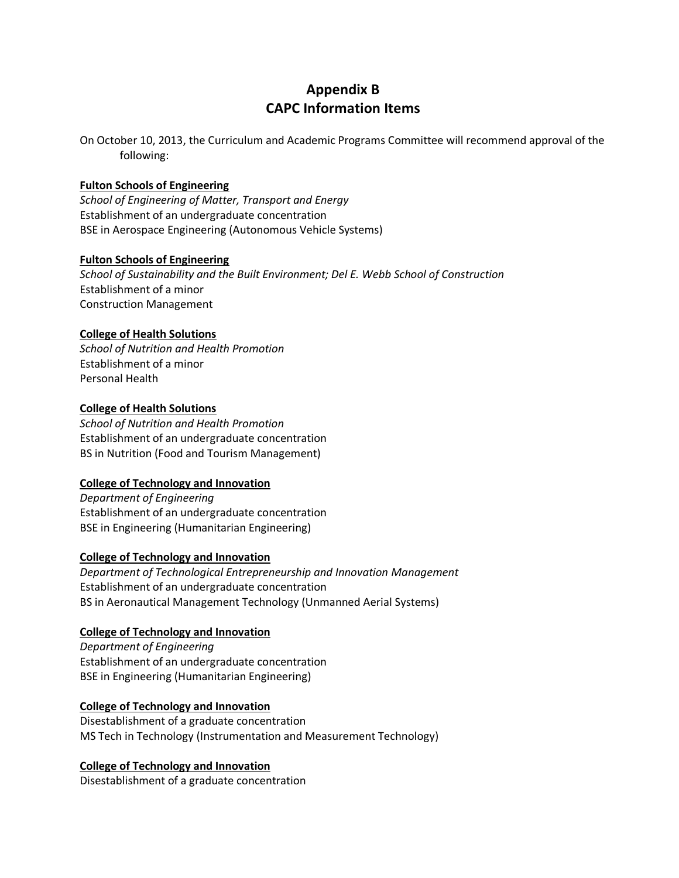## **Appendix B CAPC Information Items**

On October 10, 2013, the Curriculum and Academic Programs Committee will recommend approval of the following:

#### **Fulton Schools of Engineering**

*School of Engineering of Matter, Transport and Energy* Establishment of an undergraduate concentration BSE in Aerospace Engineering (Autonomous Vehicle Systems)

#### **Fulton Schools of Engineering**

*School of Sustainability and the Built Environment; Del E. Webb School of Construction* Establishment of a minor Construction Management

#### **College of Health Solutions**

*School of Nutrition and Health Promotion* Establishment of a minor Personal Health

#### **College of Health Solutions**

*School of Nutrition and Health Promotion* Establishment of an undergraduate concentration BS in Nutrition (Food and Tourism Management)

#### **College of Technology and Innovation**

*Department of Engineering* Establishment of an undergraduate concentration BSE in Engineering (Humanitarian Engineering)

#### **College of Technology and Innovation**

*Department of Technological Entrepreneurship and Innovation Management* Establishment of an undergraduate concentration BS in Aeronautical Management Technology (Unmanned Aerial Systems)

#### **College of Technology and Innovation**

*Department of Engineering* Establishment of an undergraduate concentration BSE in Engineering (Humanitarian Engineering)

#### **College of Technology and Innovation**

Disestablishment of a graduate concentration MS Tech in Technology (Instrumentation and Measurement Technology)

#### **College of Technology and Innovation**

Disestablishment of a graduate concentration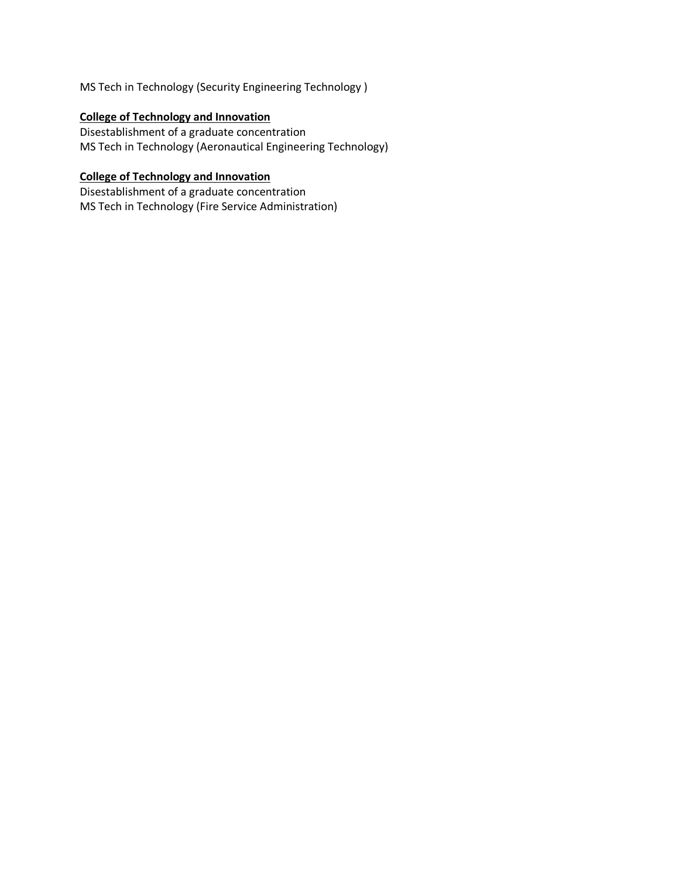MS Tech in Technology (Security Engineering Technology )

### **College of Technology and Innovation**

Disestablishment of a graduate concentration MS Tech in Technology (Aeronautical Engineering Technology)

#### **College of Technology and Innovation**

Disestablishment of a graduate concentration MS Tech in Technology (Fire Service Administration)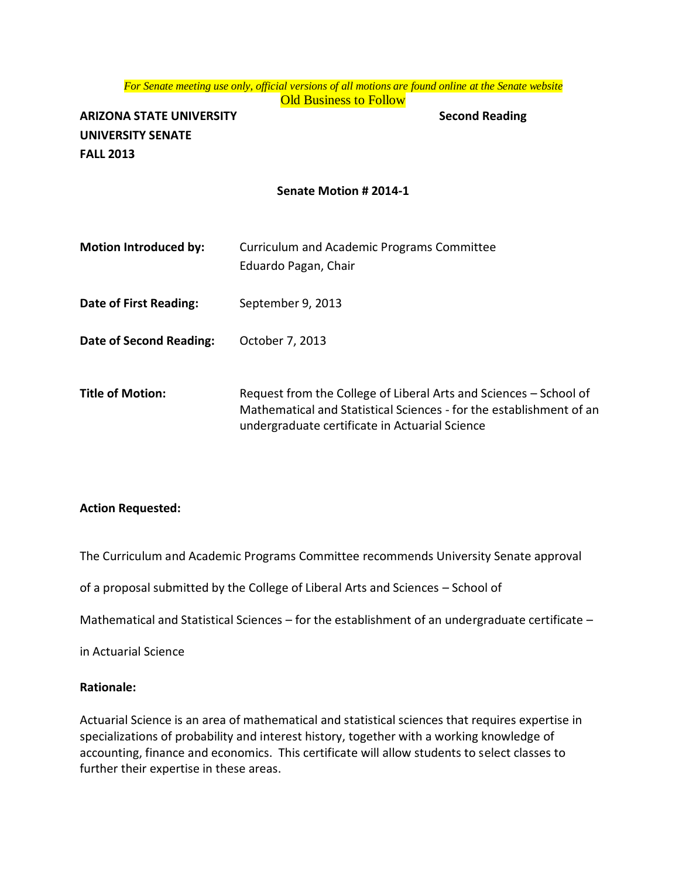# *For Senate meeting use only, official versions of all motions are found online at the Senate website*

**Old Business to Follow** 

**ARIZONA STATE UNIVERSITY Second Reading UNIVERSITY SENATE FALL 2013**

#### **Senate Motion # 2014-1**

| <b>Motion Introduced by:</b> | Curriculum and Academic Programs Committee<br>Eduardo Pagan, Chair                                                                                                                         |
|------------------------------|--------------------------------------------------------------------------------------------------------------------------------------------------------------------------------------------|
| Date of First Reading:       | September 9, 2013                                                                                                                                                                          |
| Date of Second Reading:      | October 7, 2013                                                                                                                                                                            |
| <b>Title of Motion:</b>      | Request from the College of Liberal Arts and Sciences – School of<br>Mathematical and Statistical Sciences - for the establishment of an<br>undergraduate certificate in Actuarial Science |

#### **Action Requested:**

The Curriculum and Academic Programs Committee recommends University Senate approval

of a proposal submitted by the College of Liberal Arts and Sciences – School of

Mathematical and Statistical Sciences – for the establishment of an undergraduate certificate –

in Actuarial Science

#### **Rationale:**

Actuarial Science is an area of mathematical and statistical sciences that requires expertise in specializations of probability and interest history, together with a working knowledge of accounting, finance and economics. This certificate will allow students to select classes to further their expertise in these areas.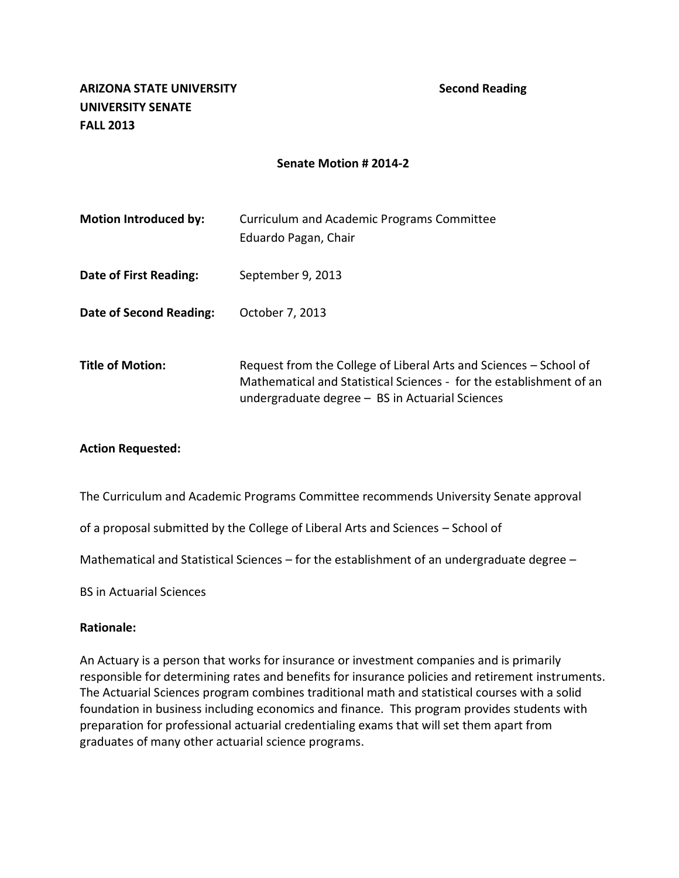| <b>Motion Introduced by:</b> | Curriculum and Academic Programs Committee<br>Eduardo Pagan, Chair                                                                                                                            |
|------------------------------|-----------------------------------------------------------------------------------------------------------------------------------------------------------------------------------------------|
| Date of First Reading:       | September 9, 2013                                                                                                                                                                             |
| Date of Second Reading:      | October 7, 2013                                                                                                                                                                               |
| <b>Title of Motion:</b>      | Request from the College of Liberal Arts and Sciences - School of<br>Mathematical and Statistical Sciences - for the establishment of an<br>undergraduate degree $-$ BS in Actuarial Sciences |

#### **Action Requested:**

The Curriculum and Academic Programs Committee recommends University Senate approval

of a proposal submitted by the College of Liberal Arts and Sciences – School of

Mathematical and Statistical Sciences – for the establishment of an undergraduate degree –

BS in Actuarial Sciences

#### **Rationale:**

An Actuary is a person that works for insurance or investment companies and is primarily responsible for determining rates and benefits for insurance policies and retirement instruments. The Actuarial Sciences program combines traditional math and statistical courses with a solid foundation in business including economics and finance. This program provides students with preparation for professional actuarial credentialing exams that will set them apart from graduates of many other actuarial science programs.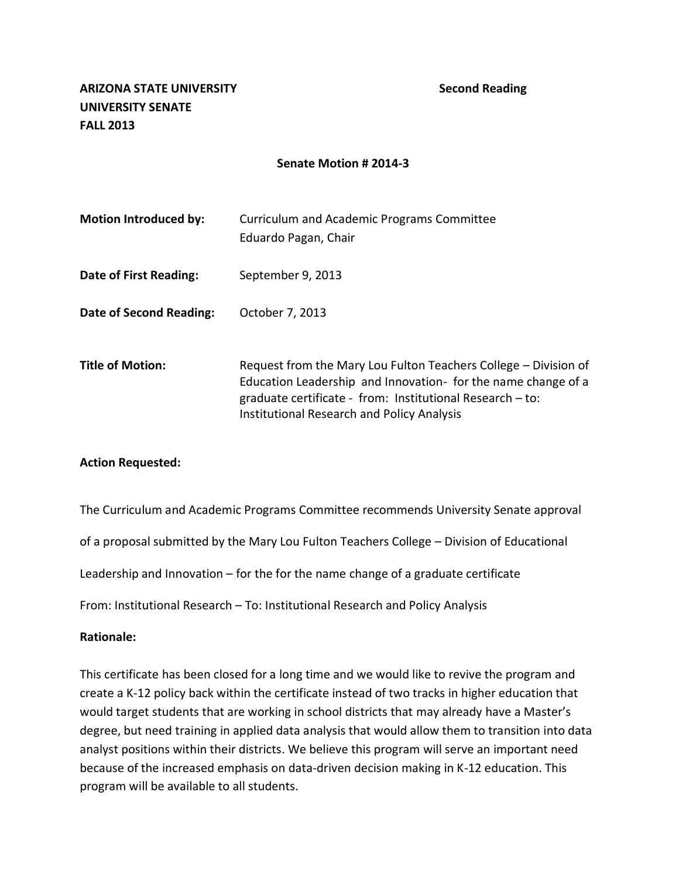| <b>Motion Introduced by:</b>   | <b>Curriculum and Academic Programs Committee</b><br>Eduardo Pagan, Chair                                                                                                                                                                          |
|--------------------------------|----------------------------------------------------------------------------------------------------------------------------------------------------------------------------------------------------------------------------------------------------|
| Date of First Reading:         | September 9, 2013                                                                                                                                                                                                                                  |
| <b>Date of Second Reading:</b> | October 7, 2013                                                                                                                                                                                                                                    |
| <b>Title of Motion:</b>        | Request from the Mary Lou Fulton Teachers College - Division of<br>Education Leadership and Innovation- for the name change of a<br>graduate certificate - from: Institutional Research - to:<br><b>Institutional Research and Policy Analysis</b> |

#### **Action Requested:**

The Curriculum and Academic Programs Committee recommends University Senate approval

of a proposal submitted by the Mary Lou Fulton Teachers College – Division of Educational

Leadership and Innovation – for the for the name change of a graduate certificate

From: Institutional Research – To: Institutional Research and Policy Analysis

#### **Rationale:**

This certificate has been closed for a long time and we would like to revive the program and create a K-12 policy back within the certificate instead of two tracks in higher education that would target students that are working in school districts that may already have a Master's degree, but need training in applied data analysis that would allow them to transition into data analyst positions within their districts. We believe this program will serve an important need because of the increased emphasis on data-driven decision making in K-12 education. This program will be available to all students.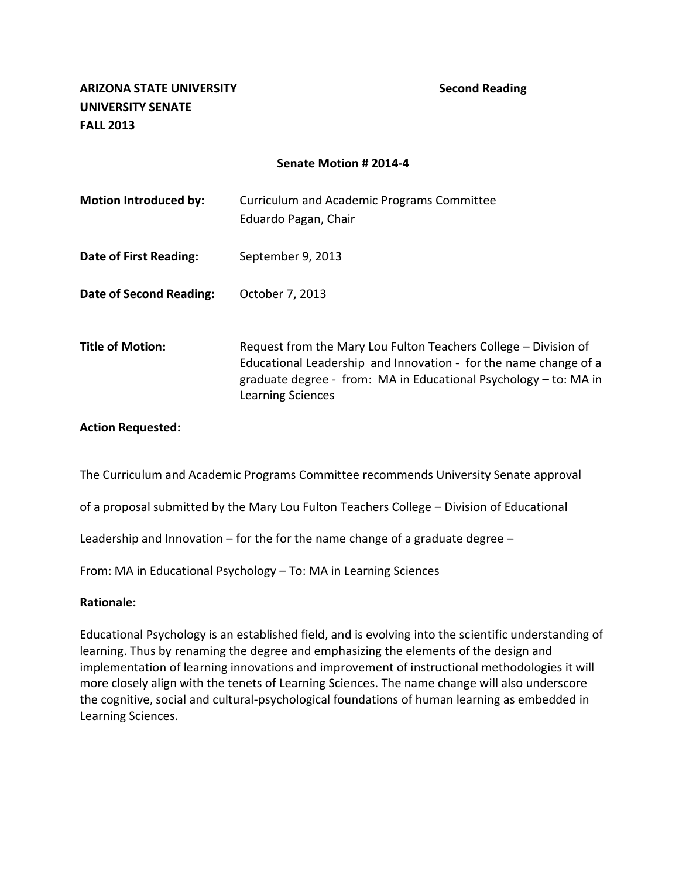| <b>Motion Introduced by:</b> | Curriculum and Academic Programs Committee<br>Eduardo Pagan, Chair                                                                                                                                                           |
|------------------------------|------------------------------------------------------------------------------------------------------------------------------------------------------------------------------------------------------------------------------|
| Date of First Reading:       | September 9, 2013                                                                                                                                                                                                            |
| Date of Second Reading:      | October 7, 2013                                                                                                                                                                                                              |
| <b>Title of Motion:</b>      | Request from the Mary Lou Fulton Teachers College – Division of<br>Educational Leadership and Innovation - for the name change of a<br>graduate degree - from: MA in Educational Psychology – to: MA in<br>Learning Sciences |

#### **Action Requested:**

The Curriculum and Academic Programs Committee recommends University Senate approval

of a proposal submitted by the Mary Lou Fulton Teachers College – Division of Educational

Leadership and Innovation – for the for the name change of a graduate degree –

From: MA in Educational Psychology – To: MA in Learning Sciences

#### **Rationale:**

Educational Psychology is an established field, and is evolving into the scientific understanding of learning. Thus by renaming the degree and emphasizing the elements of the design and implementation of learning innovations and improvement of instructional methodologies it will more closely align with the tenets of Learning Sciences. The name change will also underscore the cognitive, social and cultural-psychological foundations of human learning as embedded in Learning Sciences.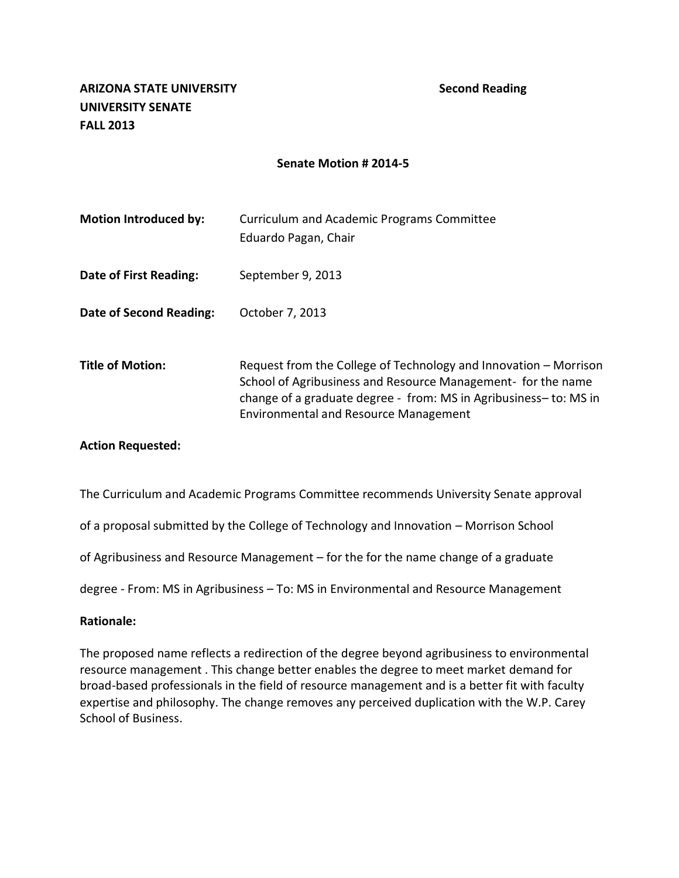| <b>Motion Introduced by:</b> | Curriculum and Academic Programs Committee<br>Eduardo Pagan, Chair                                                                                                                                                                                   |
|------------------------------|------------------------------------------------------------------------------------------------------------------------------------------------------------------------------------------------------------------------------------------------------|
| Date of First Reading:       | September 9, 2013                                                                                                                                                                                                                                    |
| Date of Second Reading:      | October 7, 2013                                                                                                                                                                                                                                      |
| <b>Title of Motion:</b>      | Request from the College of Technology and Innovation – Morrison<br>School of Agribusiness and Resource Management- for the name<br>change of a graduate degree - from: MS in Agribusiness-to: MS in<br><b>Environmental and Resource Management</b> |

#### **Action Requested:**

The Curriculum and Academic Programs Committee recommends University Senate approval

of a proposal submitted by the College of Technology and Innovation – Morrison School

of Agribusiness and Resource Management – for the for the name change of a graduate

degree - From: MS in Agribusiness – To: MS in Environmental and Resource Management

#### **Rationale:**

The proposed name reflects a redirection of the degree beyond agribusiness to environmental resource management . This change better enables the degree to meet market demand for broad-based professionals in the field of resource management and is a better fit with faculty expertise and philosophy. The change removes any perceived duplication with the W.P. Carey School of Business.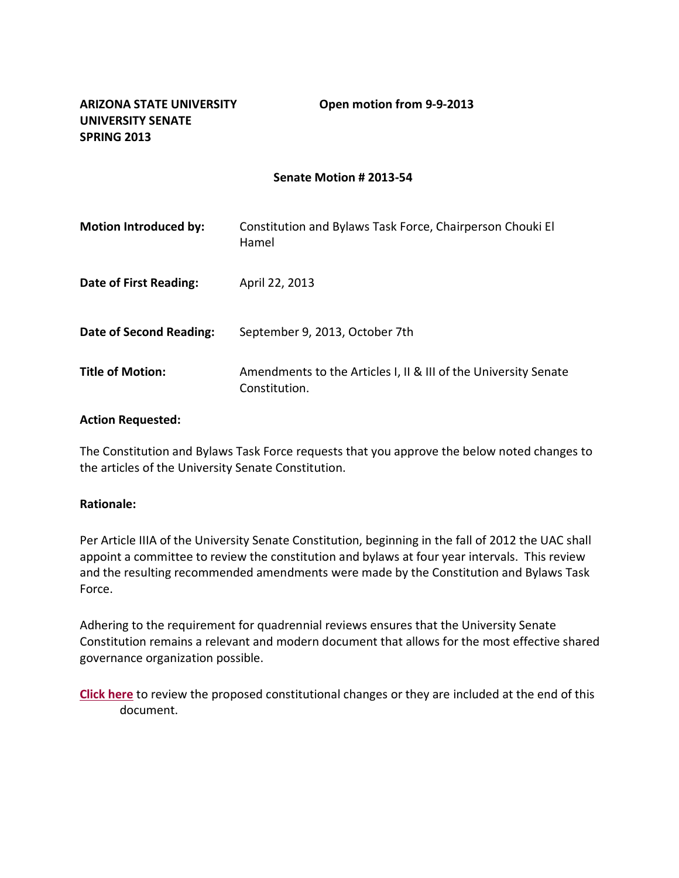| <b>Motion Introduced by:</b> | Constitution and Bylaws Task Force, Chairperson Chouki El<br>Hamel               |
|------------------------------|----------------------------------------------------------------------------------|
| Date of First Reading:       | April 22, 2013                                                                   |
| Date of Second Reading:      | September 9, 2013, October 7th                                                   |
| <b>Title of Motion:</b>      | Amendments to the Articles I, II & III of the University Senate<br>Constitution. |

#### **Action Requested:**

The Constitution and Bylaws Task Force requests that you approve the below noted changes to the articles of the University Senate Constitution.

#### **Rationale:**

Per Article IIIA of the University Senate Constitution, beginning in the fall of 2012 the UAC shall appoint a committee to review the constitution and bylaws at four year intervals. This review and the resulting recommended amendments were made by the Constitution and Bylaws Task Force.

Adhering to the requirement for quadrennial reviews ensures that the University Senate Constitution remains a relevant and modern document that allows for the most effective shared governance organization possible.

**[Click here](http://usenate.asu.edu/files/Constitution_Academic_Senate_3-14-13_Final_from_Chouki_4-15-2013_0.pdf)** to review the proposed constitutional changes or they are included at the end of this document.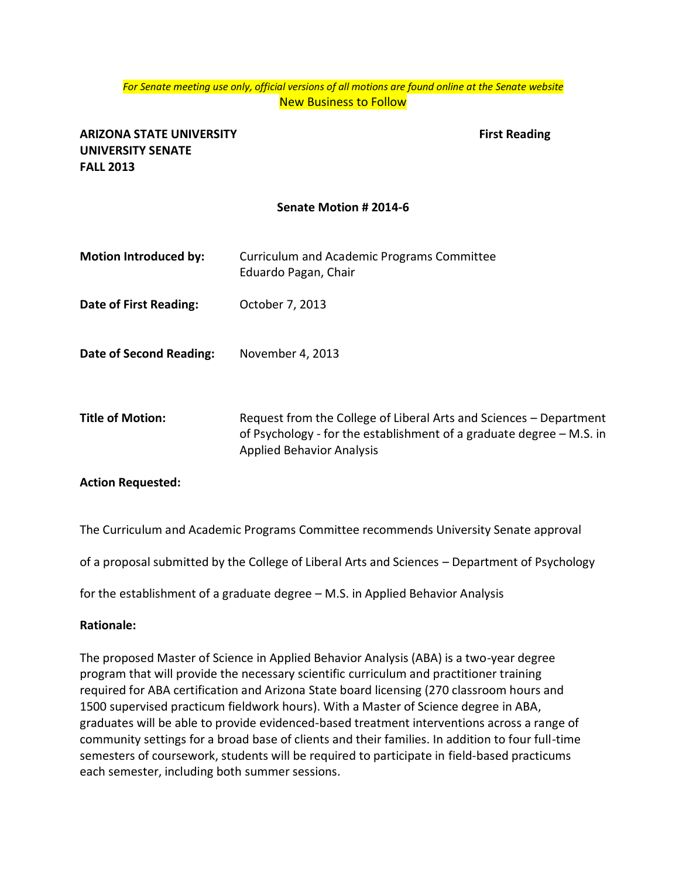#### *For Senate meeting use only, official versions of all motions are found online at the Senate website* New Business to Follow

### **ARIZONA STATE UNIVERSITY First Reading UNIVERSITY SENATE FALL 2013**

#### **Senate Motion # 2014-6**

- **Motion Introduced by:** Curriculum and Academic Programs Committee Eduardo Pagan, Chair
- **Date of First Reading:** October 7, 2013
- **Date of Second Reading:** November 4, 2013
- **Title of Motion:** Request from the College of Liberal Arts and Sciences Department of Psychology - for the establishment of a graduate degree – M.S. in Applied Behavior Analysis

#### **Action Requested:**

The Curriculum and Academic Programs Committee recommends University Senate approval

of a proposal submitted by the College of Liberal Arts and Sciences – Department of Psychology

for the establishment of a graduate degree – M.S. in Applied Behavior Analysis

#### **Rationale:**

The proposed Master of Science in Applied Behavior Analysis (ABA) is a two-year degree program that will provide the necessary scientific curriculum and practitioner training required for ABA certification and Arizona State board licensing (270 classroom hours and 1500 supervised practicum fieldwork hours). With a Master of Science degree in ABA, graduates will be able to provide evidenced-based treatment interventions across a range of community settings for a broad base of clients and their families. In addition to four full-time semesters of coursework, students will be required to participate in field-based practicums each semester, including both summer sessions.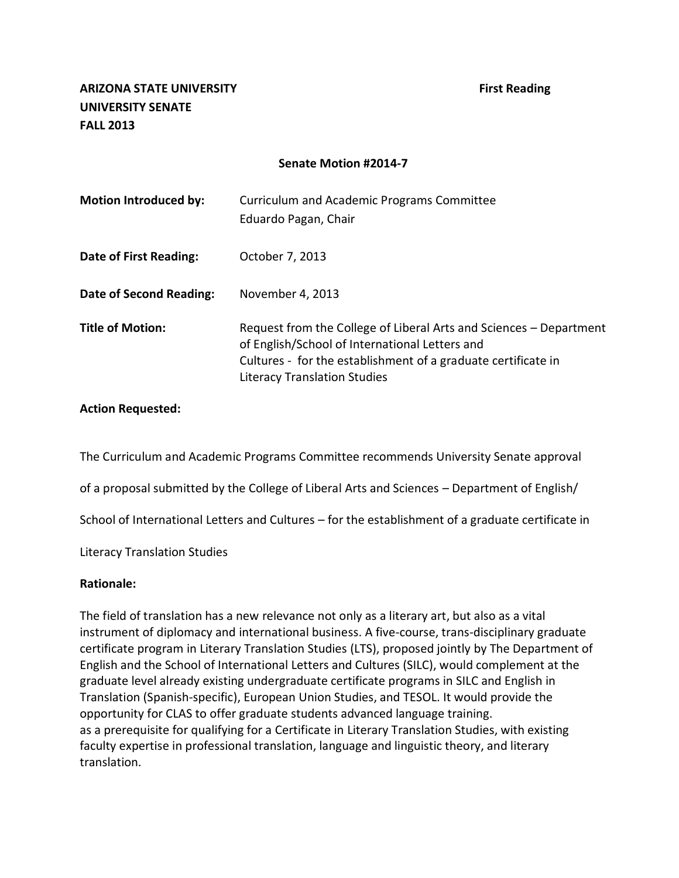| <b>Motion Introduced by:</b>   | Curriculum and Academic Programs Committee<br>Eduardo Pagan, Chair                                                                                                                                                           |
|--------------------------------|------------------------------------------------------------------------------------------------------------------------------------------------------------------------------------------------------------------------------|
| Date of First Reading:         | October 7, 2013                                                                                                                                                                                                              |
| <b>Date of Second Reading:</b> | November 4, 2013                                                                                                                                                                                                             |
| <b>Title of Motion:</b>        | Request from the College of Liberal Arts and Sciences – Department<br>of English/School of International Letters and<br>Cultures - for the establishment of a graduate certificate in<br><b>Literacy Translation Studies</b> |

#### **Action Requested:**

The Curriculum and Academic Programs Committee recommends University Senate approval

of a proposal submitted by the College of Liberal Arts and Sciences – Department of English/

School of International Letters and Cultures – for the establishment of a graduate certificate in

Literacy Translation Studies

#### **Rationale:**

The field of translation has a new relevance not only as a literary art, but also as a vital instrument of diplomacy and international business. A five-course, trans-disciplinary graduate certificate program in Literary Translation Studies (LTS), proposed jointly by The Department of English and the School of International Letters and Cultures (SILC), would complement at the graduate level already existing undergraduate certificate programs in SILC and English in Translation (Spanish-specific), European Union Studies, and TESOL. It would provide the opportunity for CLAS to offer graduate students advanced language training. as a prerequisite for qualifying for a Certificate in Literary Translation Studies, with existing faculty expertise in professional translation, language and linguistic theory, and literary translation.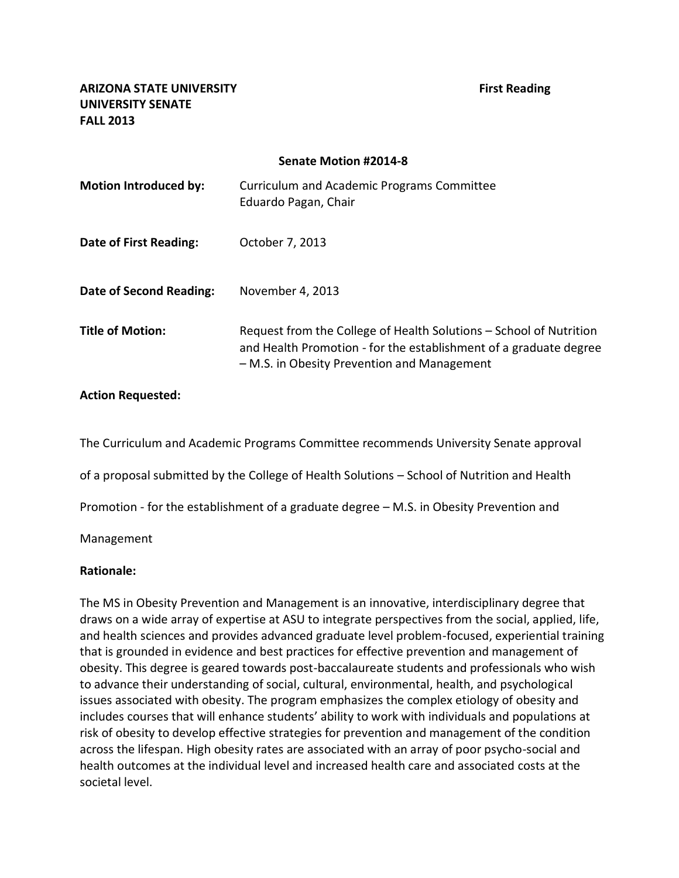**ARIZONA STATE UNIVERSITY First Reading UNIVERSITY SENATE FALL 2013**

#### **Senate Motion #2014-8**

| <b>Motion Introduced by:</b> | Curriculum and Academic Programs Committee<br>Eduardo Pagan, Chair                                                                                                                     |
|------------------------------|----------------------------------------------------------------------------------------------------------------------------------------------------------------------------------------|
| Date of First Reading:       | October 7, 2013                                                                                                                                                                        |
| Date of Second Reading:      | November 4, 2013                                                                                                                                                                       |
| <b>Title of Motion:</b>      | Request from the College of Health Solutions – School of Nutrition<br>and Health Promotion - for the establishment of a graduate degree<br>- M.S. in Obesity Prevention and Management |

#### **Action Requested:**

The Curriculum and Academic Programs Committee recommends University Senate approval

of a proposal submitted by the College of Health Solutions – School of Nutrition and Health

Promotion - for the establishment of a graduate degree – M.S. in Obesity Prevention and

Management

#### **Rationale:**

The MS in Obesity Prevention and Management is an innovative, interdisciplinary degree that draws on a wide array of expertise at ASU to integrate perspectives from the social, applied, life, and health sciences and provides advanced graduate level problem-focused, experiential training that is grounded in evidence and best practices for effective prevention and management of obesity. This degree is geared towards post-baccalaureate students and professionals who wish to advance their understanding of social, cultural, environmental, health, and psychological issues associated with obesity. The program emphasizes the complex etiology of obesity and includes courses that will enhance students' ability to work with individuals and populations at risk of obesity to develop effective strategies for prevention and management of the condition across the lifespan. High obesity rates are associated with an array of poor psycho-social and health outcomes at the individual level and increased health care and associated costs at the societal level.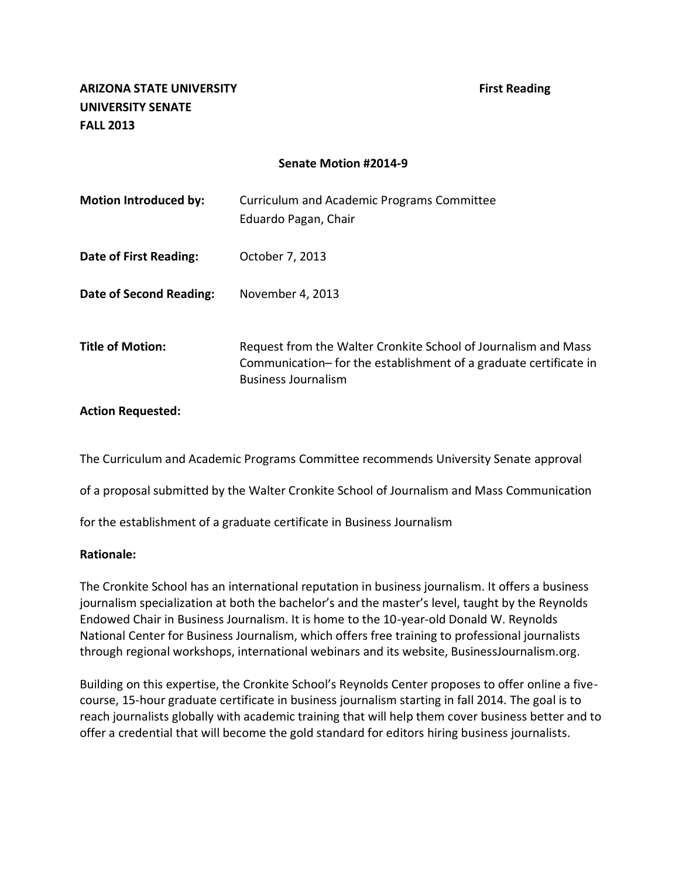| <b>Motion Introduced by:</b> | Curriculum and Academic Programs Committee<br>Eduardo Pagan, Chair                                                                                                |
|------------------------------|-------------------------------------------------------------------------------------------------------------------------------------------------------------------|
| Date of First Reading:       | October 7, 2013                                                                                                                                                   |
| Date of Second Reading:      | November 4, 2013                                                                                                                                                  |
| <b>Title of Motion:</b>      | Request from the Walter Cronkite School of Journalism and Mass<br>Communication– for the establishment of a graduate certificate in<br><b>Business Journalism</b> |

#### **Action Requested:**

The Curriculum and Academic Programs Committee recommends University Senate approval

of a proposal submitted by the Walter Cronkite School of Journalism and Mass Communication

for the establishment of a graduate certificate in Business Journalism

#### **Rationale:**

The Cronkite School has an international reputation in business journalism. It offers a business journalism specialization at both the bachelor's and the master's level, taught by the Reynolds Endowed Chair in Business Journalism. It is home to the 10-year-old Donald W. Reynolds National Center for Business Journalism, which offers free training to professional journalists through regional workshops, international webinars and its website, BusinessJournalism.org.

Building on this expertise, the Cronkite School's Reynolds Center proposes to offer online a fivecourse, 15-hour graduate certificate in business journalism starting in fall 2014. The goal is to reach journalists globally with academic training that will help them cover business better and to offer a credential that will become the gold standard for editors hiring business journalists.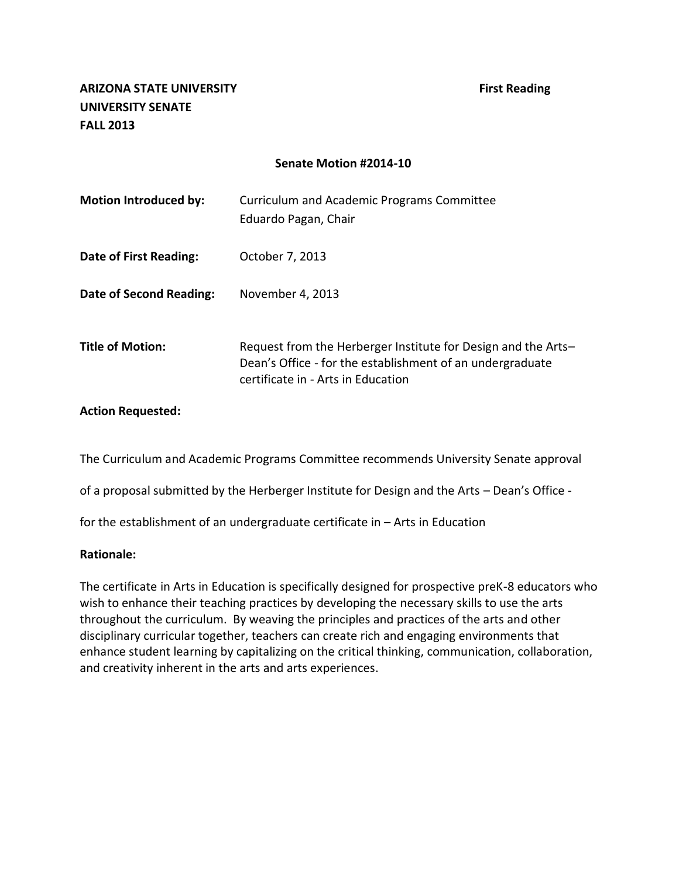| <b>Motion Introduced by:</b> | Curriculum and Academic Programs Committee<br>Eduardo Pagan, Chair                                                                                               |
|------------------------------|------------------------------------------------------------------------------------------------------------------------------------------------------------------|
| Date of First Reading:       | October 7, 2013                                                                                                                                                  |
| Date of Second Reading:      | November 4, 2013                                                                                                                                                 |
| <b>Title of Motion:</b>      | Request from the Herberger Institute for Design and the Arts-<br>Dean's Office - for the establishment of an undergraduate<br>certificate in - Arts in Education |

#### **Action Requested:**

The Curriculum and Academic Programs Committee recommends University Senate approval

of a proposal submitted by the Herberger Institute for Design and the Arts – Dean's Office -

for the establishment of an undergraduate certificate in – Arts in Education

#### **Rationale:**

The certificate in Arts in Education is specifically designed for prospective preK-8 educators who wish to enhance their teaching practices by developing the necessary skills to use the arts throughout the curriculum. By weaving the principles and practices of the arts and other disciplinary curricular together, teachers can create rich and engaging environments that enhance student learning by capitalizing on the critical thinking, communication, collaboration, and creativity inherent in the arts and arts experiences.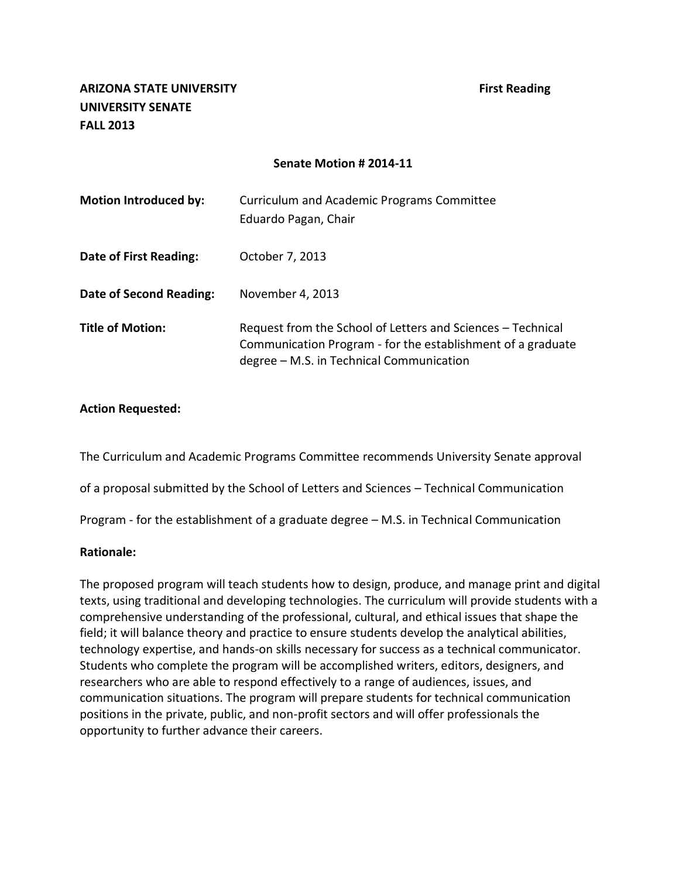| <b>Motion Introduced by:</b>   | Curriculum and Academic Programs Committee<br>Eduardo Pagan, Chair                                                                                                     |
|--------------------------------|------------------------------------------------------------------------------------------------------------------------------------------------------------------------|
| <b>Date of First Reading:</b>  | October 7, 2013                                                                                                                                                        |
| <b>Date of Second Reading:</b> | November 4, 2013                                                                                                                                                       |
| <b>Title of Motion:</b>        | Request from the School of Letters and Sciences - Technical<br>Communication Program - for the establishment of a graduate<br>degree - M.S. in Technical Communication |

#### **Action Requested:**

The Curriculum and Academic Programs Committee recommends University Senate approval

of a proposal submitted by the School of Letters and Sciences – Technical Communication

Program - for the establishment of a graduate degree – M.S. in Technical Communication

#### **Rationale:**

The proposed program will teach students how to design, produce, and manage print and digital texts, using traditional and developing technologies. The curriculum will provide students with a comprehensive understanding of the professional, cultural, and ethical issues that shape the field; it will balance theory and practice to ensure students develop the analytical abilities, technology expertise, and hands-on skills necessary for success as a technical communicator. Students who complete the program will be accomplished writers, editors, designers, and researchers who are able to respond effectively to a range of audiences, issues, and communication situations. The program will prepare students for technical communication positions in the private, public, and non-profit sectors and will offer professionals the opportunity to further advance their careers.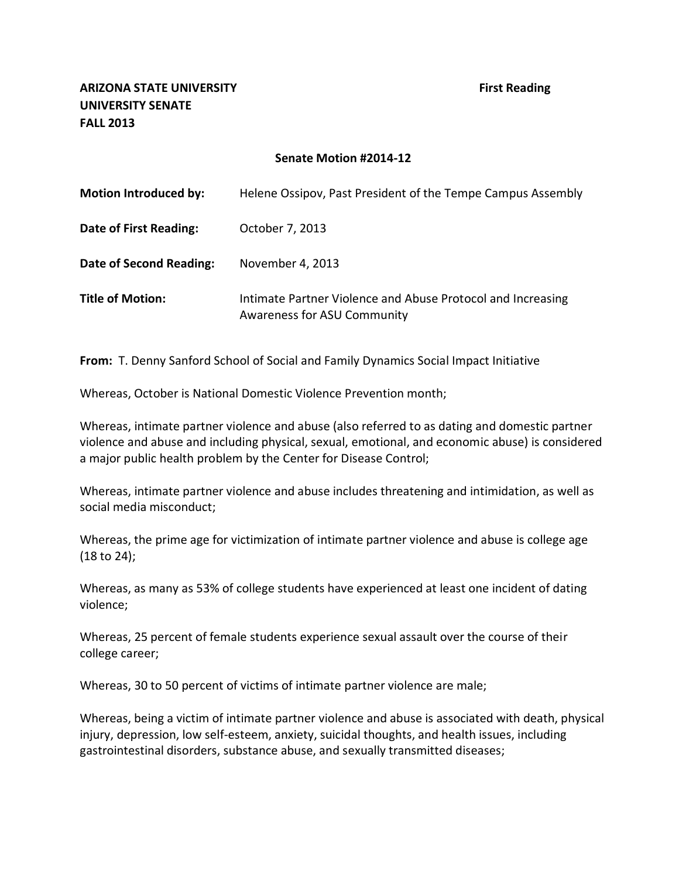**ARIZONA STATE UNIVERSITY First Reading UNIVERSITY SENATE FALL 2013**

#### **Senate Motion #2014-12**

| <b>Motion Introduced by:</b>   | Helene Ossipov, Past President of the Tempe Campus Assembly                                |
|--------------------------------|--------------------------------------------------------------------------------------------|
| <b>Date of First Reading:</b>  | October 7, 2013                                                                            |
| <b>Date of Second Reading:</b> | November 4, 2013                                                                           |
| <b>Title of Motion:</b>        | Intimate Partner Violence and Abuse Protocol and Increasing<br>Awareness for ASU Community |

**From:** T. Denny Sanford School of Social and Family Dynamics Social Impact Initiative

Whereas, October is National Domestic Violence Prevention month;

Whereas, intimate partner violence and abuse (also referred to as dating and domestic partner violence and abuse and including physical, sexual, emotional, and economic abuse) is considered a major public health problem by the Center for Disease Control;

Whereas, intimate partner violence and abuse includes threatening and intimidation, as well as social media misconduct;

Whereas, the prime age for victimization of intimate partner violence and abuse is college age (18 to 24);

Whereas, as many as 53% of college students have experienced at least one incident of dating violence;

Whereas, 25 percent of female students experience sexual assault over the course of their college career;

Whereas, 30 to 50 percent of victims of intimate partner violence are male;

Whereas, being a victim of intimate partner violence and abuse is associated with death, physical injury, depression, low self-esteem, anxiety, suicidal thoughts, and health issues, including gastrointestinal disorders, substance abuse, and sexually transmitted diseases;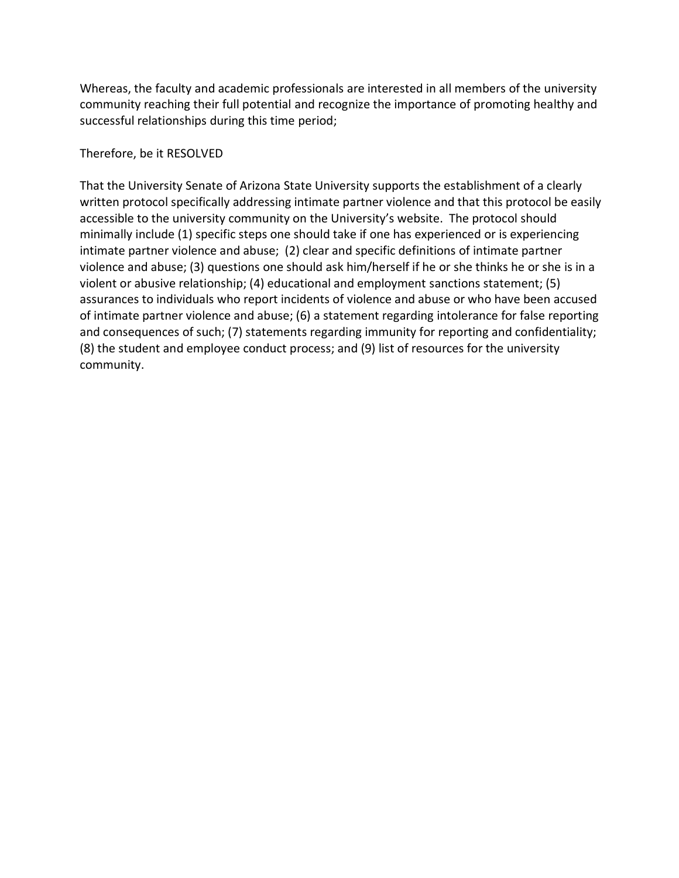Whereas, the faculty and academic professionals are interested in all members of the university community reaching their full potential and recognize the importance of promoting healthy and successful relationships during this time period;

### Therefore, be it RESOLVED

That the University Senate of Arizona State University supports the establishment of a clearly written protocol specifically addressing intimate partner violence and that this protocol be easily accessible to the university community on the University's website. The protocol should minimally include (1) specific steps one should take if one has experienced or is experiencing intimate partner violence and abuse; (2) clear and specific definitions of intimate partner violence and abuse; (3) questions one should ask him/herself if he or she thinks he or she is in a violent or abusive relationship; (4) educational and employment sanctions statement; (5) assurances to individuals who report incidents of violence and abuse or who have been accused of intimate partner violence and abuse; (6) a statement regarding intolerance for false reporting and consequences of such; (7) statements regarding immunity for reporting and confidentiality; (8) the student and employee conduct process; and (9) list of resources for the university community.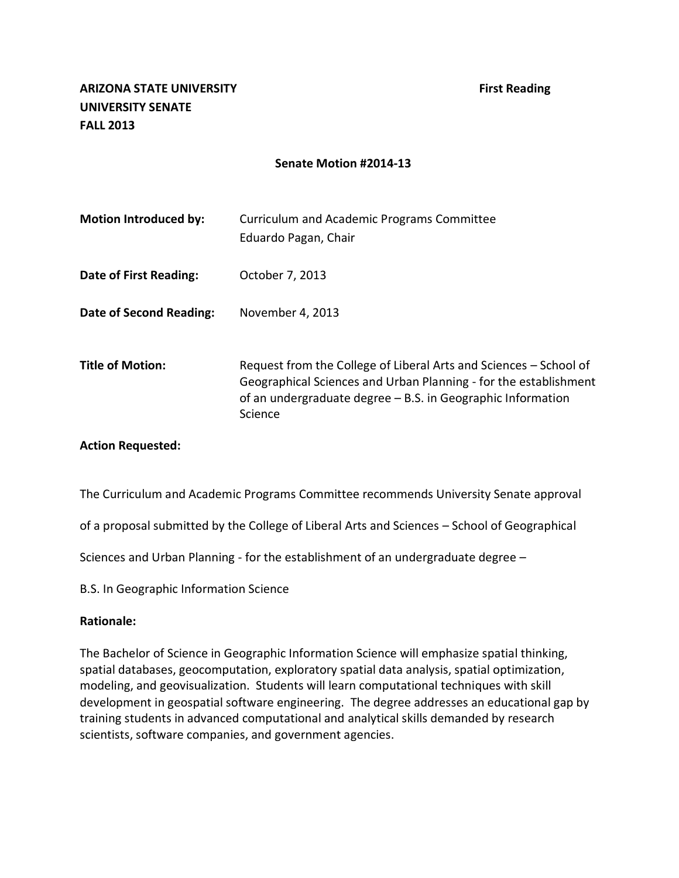| <b>Motion Introduced by:</b> | Curriculum and Academic Programs Committee<br>Eduardo Pagan, Chair                                                                                                                                              |
|------------------------------|-----------------------------------------------------------------------------------------------------------------------------------------------------------------------------------------------------------------|
| Date of First Reading:       | October 7, 2013                                                                                                                                                                                                 |
| Date of Second Reading:      | November 4, 2013                                                                                                                                                                                                |
| <b>Title of Motion:</b>      | Request from the College of Liberal Arts and Sciences – School of<br>Geographical Sciences and Urban Planning - for the establishment<br>of an undergraduate degree – B.S. in Geographic Information<br>Science |

#### **Action Requested:**

The Curriculum and Academic Programs Committee recommends University Senate approval

of a proposal submitted by the College of Liberal Arts and Sciences – School of Geographical

Sciences and Urban Planning - for the establishment of an undergraduate degree –

B.S. In Geographic Information Science

#### **Rationale:**

The Bachelor of Science in Geographic Information Science will emphasize spatial thinking, spatial databases, geocomputation, exploratory spatial data analysis, spatial optimization, modeling, and geovisualization. Students will learn computational techniques with skill development in geospatial software engineering. The degree addresses an educational gap by training students in advanced computational and analytical skills demanded by research scientists, software companies, and government agencies.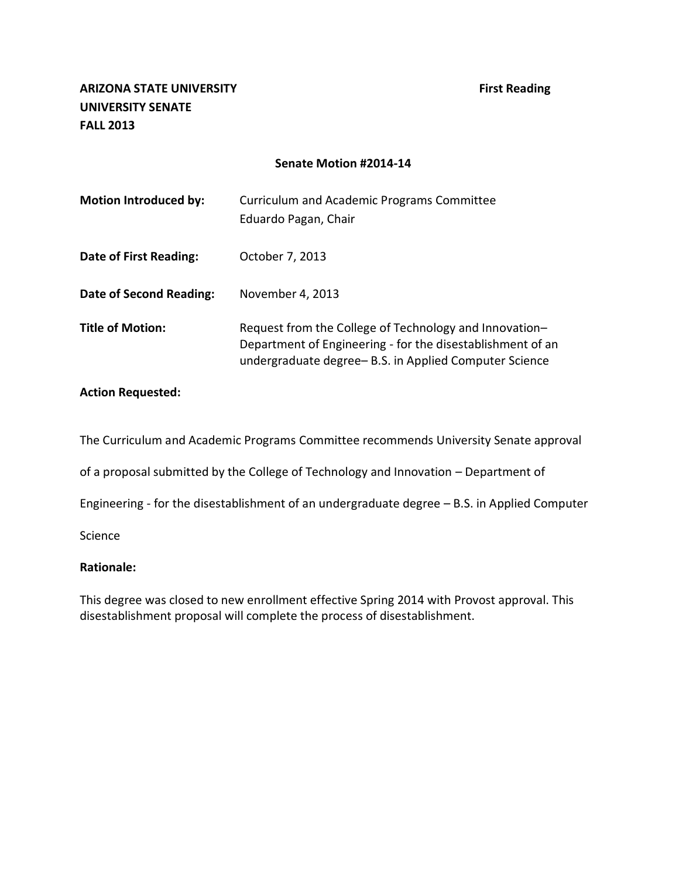| <b>Motion Introduced by:</b>   | Curriculum and Academic Programs Committee<br>Eduardo Pagan, Chair                                                                                                            |
|--------------------------------|-------------------------------------------------------------------------------------------------------------------------------------------------------------------------------|
| Date of First Reading:         | October 7, 2013                                                                                                                                                               |
| <b>Date of Second Reading:</b> | November 4, 2013                                                                                                                                                              |
| <b>Title of Motion:</b>        | Request from the College of Technology and Innovation-<br>Department of Engineering - for the disestablishment of an<br>undergraduate degree-B.S. in Applied Computer Science |

#### **Action Requested:**

The Curriculum and Academic Programs Committee recommends University Senate approval

of a proposal submitted by the College of Technology and Innovation – Department of

Engineering - for the disestablishment of an undergraduate degree – B.S. in Applied Computer

Science

#### **Rationale:**

This degree was closed to new enrollment effective Spring 2014 with Provost approval. This disestablishment proposal will complete the process of disestablishment.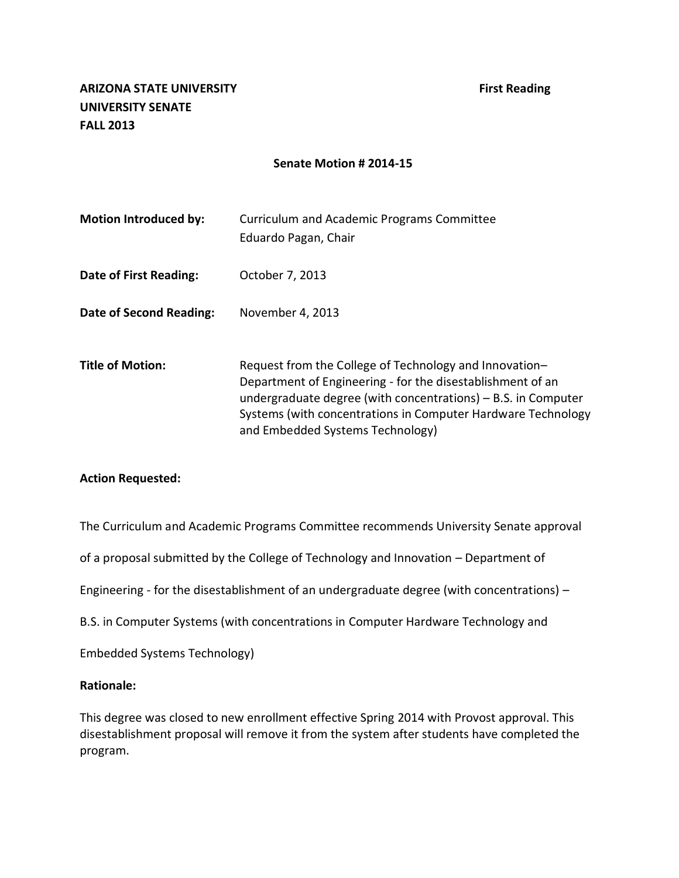| <b>Motion Introduced by:</b> | Curriculum and Academic Programs Committee<br>Eduardo Pagan, Chair                                                                                                                                                                                                                        |
|------------------------------|-------------------------------------------------------------------------------------------------------------------------------------------------------------------------------------------------------------------------------------------------------------------------------------------|
| Date of First Reading:       | October 7, 2013                                                                                                                                                                                                                                                                           |
| Date of Second Reading:      | November 4, 2013                                                                                                                                                                                                                                                                          |
| <b>Title of Motion:</b>      | Request from the College of Technology and Innovation-<br>Department of Engineering - for the disestablishment of an<br>undergraduate degree (with concentrations) – B.S. in Computer<br>Systems (with concentrations in Computer Hardware Technology<br>and Embedded Systems Technology) |

#### **Action Requested:**

The Curriculum and Academic Programs Committee recommends University Senate approval

of a proposal submitted by the College of Technology and Innovation – Department of

Engineering - for the disestablishment of an undergraduate degree (with concentrations) –

B.S. in Computer Systems (with concentrations in Computer Hardware Technology and

Embedded Systems Technology)

#### **Rationale:**

This degree was closed to new enrollment effective Spring 2014 with Provost approval. This disestablishment proposal will remove it from the system after students have completed the program.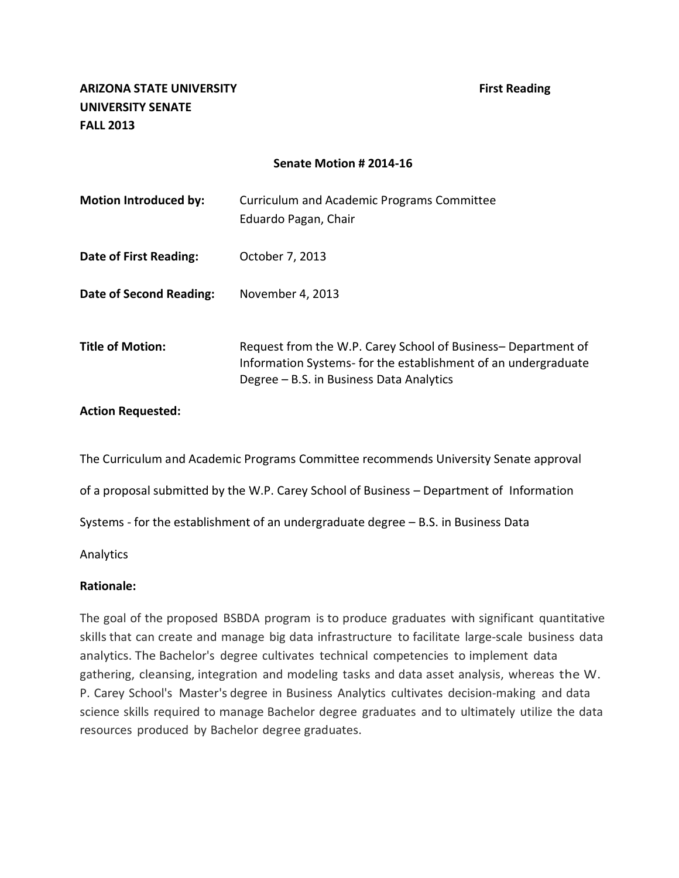| <b>Motion Introduced by:</b> | Curriculum and Academic Programs Committee<br>Eduardo Pagan, Chair                                                                                                        |
|------------------------------|---------------------------------------------------------------------------------------------------------------------------------------------------------------------------|
| Date of First Reading:       | October 7, 2013                                                                                                                                                           |
| Date of Second Reading:      | November 4, 2013                                                                                                                                                          |
| <b>Title of Motion:</b>      | Request from the W.P. Carey School of Business-Department of<br>Information Systems-for the establishment of an undergraduate<br>Degree – B.S. in Business Data Analytics |

#### **Action Requested:**

The Curriculum and Academic Programs Committee recommends University Senate approval

of a proposal submitted by the W.P. Carey School of Business – Department of Information

Systems - for the establishment of an undergraduate degree – B.S. in Business Data

Analytics

#### **Rationale:**

The goal of the proposed BSBDA program is to produce graduates with significant quantitative skills that can create and manage big data infrastructure to facilitate large-scale business data analytics. The Bachelor's degree cultivates technical competencies to implement data gathering, cleansing, integration and modeling tasks and data asset analysis, whereas the W. P. Carey School's Master's degree in Business Analytics cultivates decision-making and data science skills required to manage Bachelor degree graduates and to ultimately utilize the data resources produced by Bachelor degree graduates.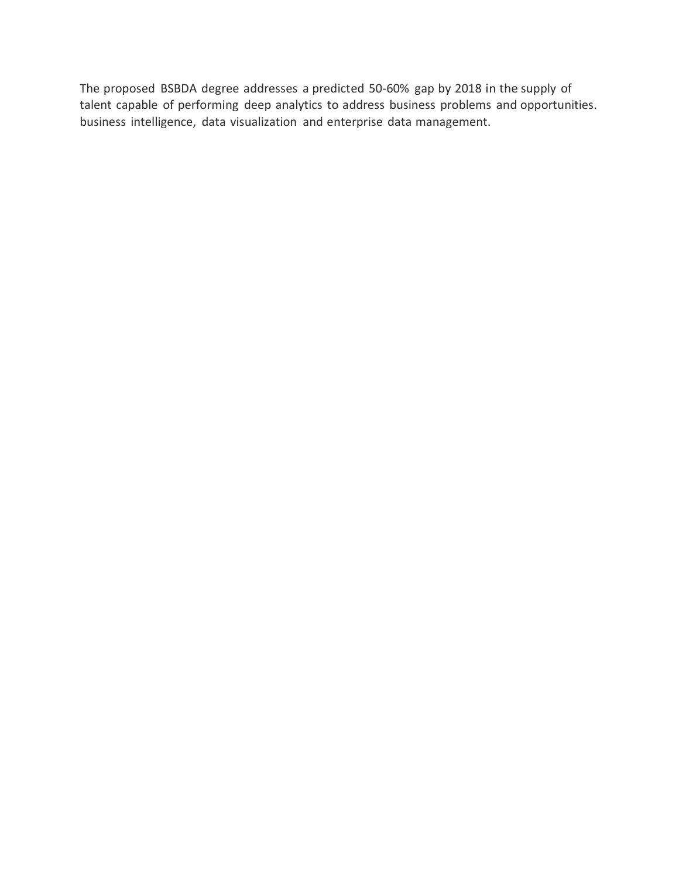The proposed BSBDA degree addresses a predicted 50-60% gap by 2018 in the supply of talent capable of performing deep analytics to address business problems and opportunities. business intelligence, data visualization and enterprise data management.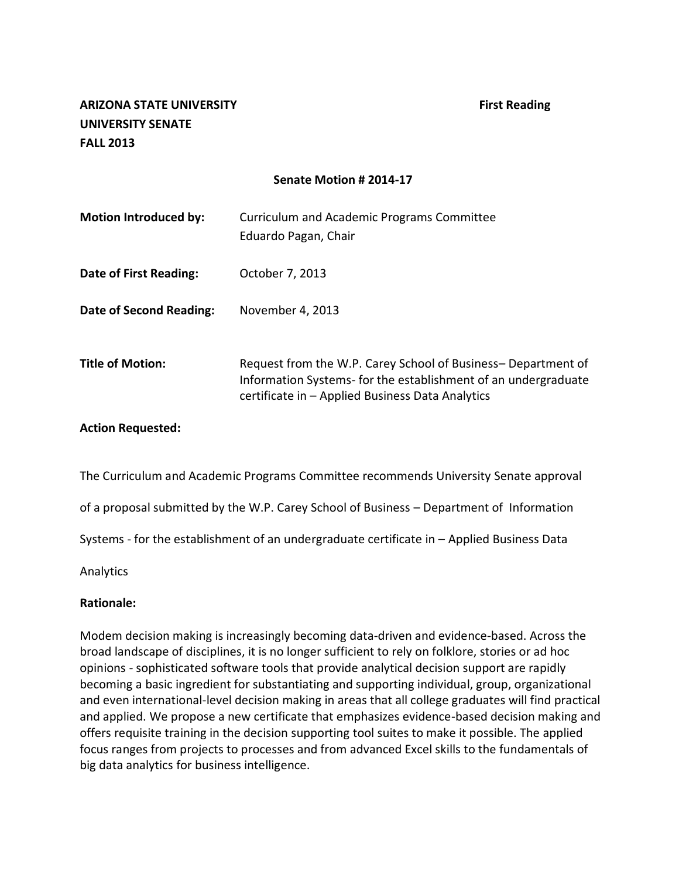## **ARIZONA STATE UNIVERSITY First Reading UNIVERSITY SENATE FALL 2013**

### **Senate Motion # 2014-17**

| <b>Motion Introduced by:</b> | Curriculum and Academic Programs Committee<br>Eduardo Pagan, Chair                                                                                                                 |
|------------------------------|------------------------------------------------------------------------------------------------------------------------------------------------------------------------------------|
| Date of First Reading:       | October 7, 2013                                                                                                                                                                    |
| Date of Second Reading:      | November 4, 2013                                                                                                                                                                   |
| <b>Title of Motion:</b>      | Request from the W.P. Carey School of Business-Department of<br>Information Systems- for the establishment of an undergraduate<br>certificate in - Applied Business Data Analytics |

#### **Action Requested:**

The Curriculum and Academic Programs Committee recommends University Senate approval

of a proposal submitted by the W.P. Carey School of Business – Department of Information

Systems - for the establishment of an undergraduate certificate in – Applied Business Data

Analytics

#### **Rationale:**

Modem decision making is increasingly becoming data-driven and evidence-based. Across the broad landscape of disciplines, it is no longer sufficient to rely on folklore, stories or ad hoc opinions - sophisticated software tools that provide analytical decision support are rapidly becoming a basic ingredient for substantiating and supporting individual, group, organizational and even international-level decision making in areas that all college graduates will find practical and applied. We propose a new certificate that emphasizes evidence-based decision making and offers requisite training in the decision supporting tool suites to make it possible. The applied focus ranges from projects to processes and from advanced Excel skills to the fundamentals of big data analytics for business intelligence.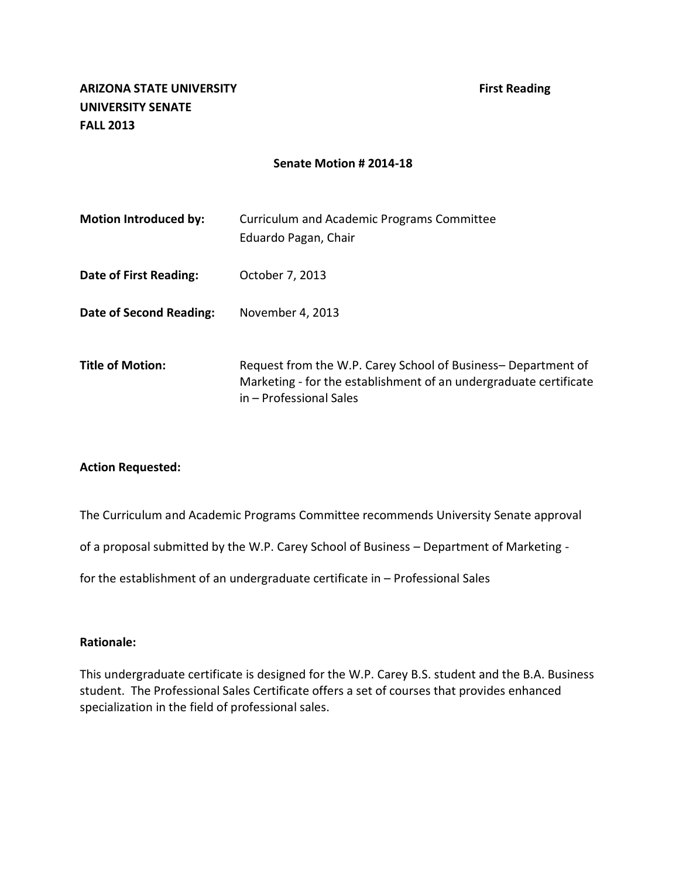| <b>Motion Introduced by:</b> | Curriculum and Academic Programs Committee<br>Eduardo Pagan, Chair                                                                                           |
|------------------------------|--------------------------------------------------------------------------------------------------------------------------------------------------------------|
| Date of First Reading:       | October 7, 2013                                                                                                                                              |
| Date of Second Reading:      | November 4, 2013                                                                                                                                             |
| <b>Title of Motion:</b>      | Request from the W.P. Carey School of Business-Department of<br>Marketing - for the establishment of an undergraduate certificate<br>in - Professional Sales |

#### **Action Requested:**

The Curriculum and Academic Programs Committee recommends University Senate approval

of a proposal submitted by the W.P. Carey School of Business – Department of Marketing -

for the establishment of an undergraduate certificate in – Professional Sales

### **Rationale:**

This undergraduate certificate is designed for the W.P. Carey B.S. student and the B.A. Business student. The Professional Sales Certificate offers a set of courses that provides enhanced specialization in the field of professional sales.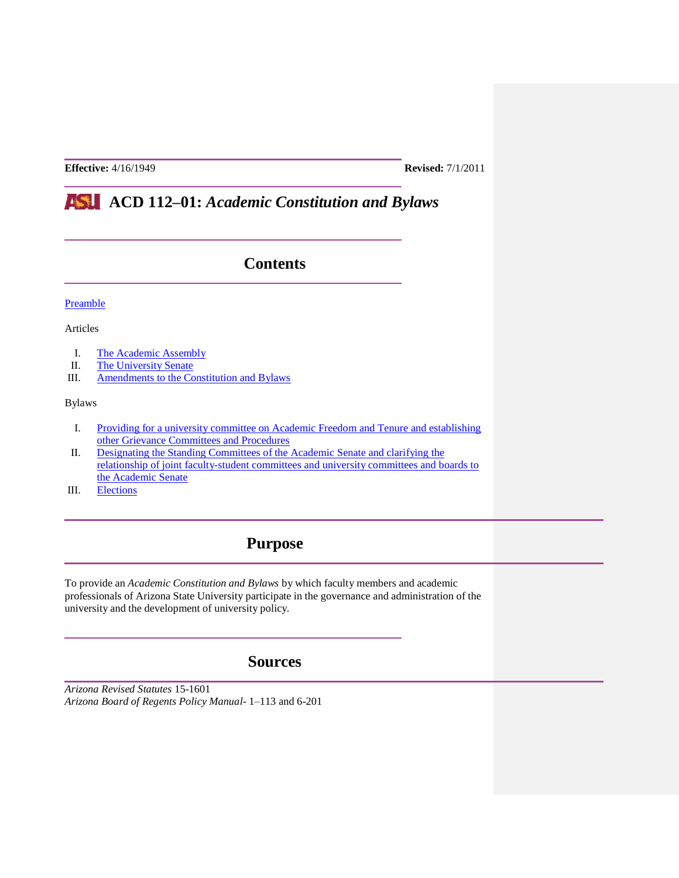**Effective:** 4/16/1949 **Revised:** 7/1/2011

# **ACD 112–01:** *Academic Constitution and Bylaws*

## **Contents**

[Preamble](http://www.asu.edu/aad/manuals/acd/acd112-01.html#Preamble#Preamble)

Articles

- I. [The Academic Assembly](http://www.asu.edu/aad/manuals/acd/acd112-01.html#Academic%20Assembly#Academic%20Assembly)
- II. [The University](http://www.asu.edu/aad/manuals/acd/acd112-01.html#Academic%20Senate#Academic%20Senate) Senate
- III. [Amendments to the Constitution and Bylaws](http://www.asu.edu/aad/manuals/acd/acd112-01.html#Amendments#Amendments)

Bylaws

- I. [Providing for a university committee on Academic Freedom and Tenure and establishing](http://www.asu.edu/aad/manuals/acd/acd112-01.html#Bylaw%20I#Bylaw%20I)  [other Grievance Committees and Procedures](http://www.asu.edu/aad/manuals/acd/acd112-01.html#Bylaw%20I#Bylaw%20I)
- II. [Designating the Standing Committees of the Academic Senate and clarifying the](http://www.asu.edu/aad/manuals/acd/acd112-01.html#Bylaw%20II#Bylaw%20II)  [relationship of joint faculty-student committees and university committees and boards to](http://www.asu.edu/aad/manuals/acd/acd112-01.html#Bylaw%20II#Bylaw%20II)  [the Academic Senate](http://www.asu.edu/aad/manuals/acd/acd112-01.html#Bylaw%20II#Bylaw%20II)
- III. [Elections](http://www.asu.edu/aad/manuals/acd/acd112-01.html#Bylaw%20III#Bylaw%20III)

## **Purpose**

To provide an *Academic Constitution and Bylaws* by which faculty members and academic professionals of Arizona State University participate in the governance and administration of the university and the development of university policy.

### **Sources**

*Arizona Revised Statutes* 15-1601 *Arizona Board of Regents Policy Manual*- 1–113 and 6-201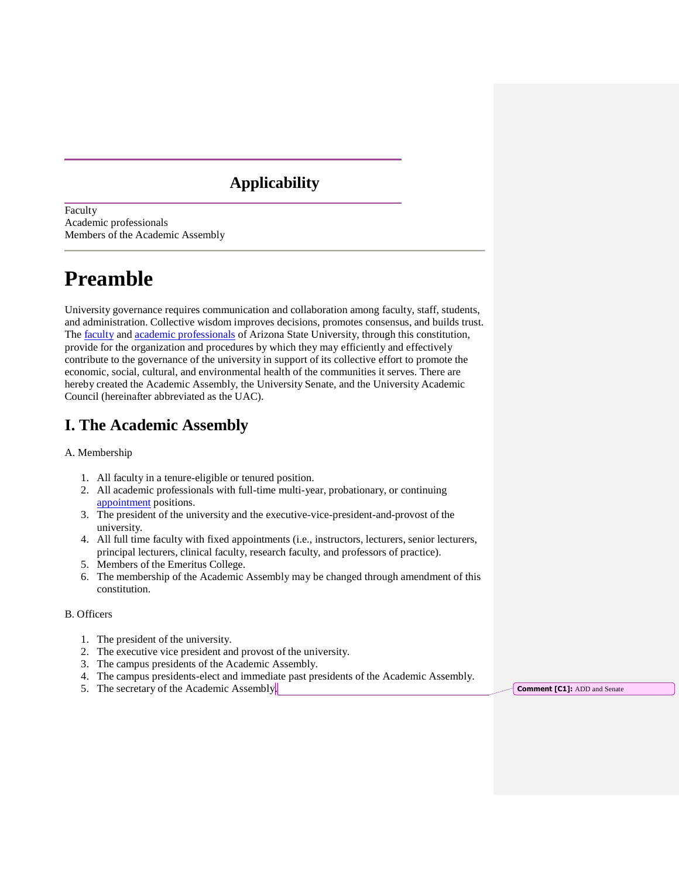## **Applicability**

Faculty Academic professionals Members of the Academic Assembly

# **Preamble**

University governance requires communication and collaboration among faculty, staff, students, and administration. Collective wisdom improves decisions, promotes consensus, and builds trust. The **faculty** and **academic professionals** of Arizona State University, through this constitution, provide for the organization and procedures by which they may efficiently and effectively contribute to the governance of the university in support of its collective effort to promote the economic, social, cultural, and environmental health of the communities it serves. There are hereby created the Academic Assembly, the University Senate, and the University Academic Council (hereinafter abbreviated as the UAC).

## **I. The Academic Assembly**

#### A. Membership

- 1. All faculty in a tenure-eligible or tenured position.
- 2. All academic professionals with full-time multi-year, probationary, or continuing [appointment](http://www.asu.edu/aad/manuals/acd/acd002.html#Appointment) positions.
- 3. The president of the university and the executive-vice-president-and-provost of the university.
- 4. All full time faculty with fixed appointments (i.e., instructors, lecturers, senior lecturers, principal lecturers, clinical faculty, research faculty, and professors of practice).
- 5. Members of the Emeritus College.
- 6. The membership of the Academic Assembly may be changed through amendment of this constitution.

#### B. Officers

- 1. The president of the university.
- 2. The executive vice president and provost of the university.
- 3. The campus presidents of the Academic Assembly.
- 4. The campus presidents-elect and immediate past presidents of the Academic Assembly.
- 5. The secretary of the Academic Assembly. **Comment [C1]:** ADD and Senate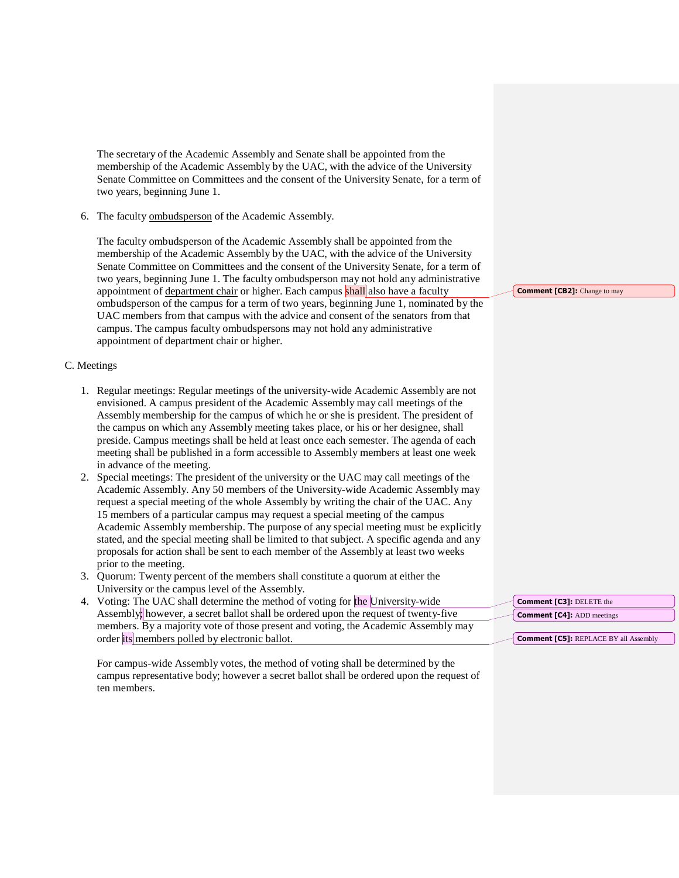The secretary of the Academic Assembly and Senate shall be appointed from the membership of the Academic Assembly by the UAC, with the advice of the University Senate Committee on Committees and the consent of the University Senate, for a term of two years, beginning June 1.

6. The faculty [ombudsperson](http://www.asu.edu/aad/manuals/acd/acd002.html#ombudsperson) of the Academic Assembly.

The faculty ombudsperson of the Academic Assembly shall be appointed from the membership of the Academic Assembly by the UAC, with the advice of the University Senate Committee on Committees and the consent of the University Senate, for a term of two years, beginning June 1. The faculty ombudsperson may not hold any administrative appointment of <u>department chair</u> or higher. Each campus shall also have a faculty ombudsperson of the campus for a term of two years, beginning June 1, nominated by the UAC members from that campus with the advice and consent of the senators from that campus. The campus faculty ombudspersons may not hold any administrative appointment of department chair or higher.

#### C. Meetings

- 1. Regular meetings: Regular meetings of the university-wide Academic Assembly are not envisioned. A campus president of the Academic Assembly may call meetings of the Assembly membership for the campus of which he or she is president. The president of the campus on which any Assembly meeting takes place, or his or her designee, shall preside. Campus meetings shall be held at least once each semester. The agenda of each meeting shall be published in a form accessible to Assembly members at least one week in advance of the meeting.
- 2. Special meetings: The president of the university or the UAC may call meetings of the Academic Assembly. Any 50 members of the University-wide Academic Assembly may request a special meeting of the whole Assembly by writing the chair of the UAC. Any 15 members of a particular campus may request a special meeting of the campus Academic Assembly membership. The purpose of any special meeting must be explicitly stated, and the special meeting shall be limited to that subject. A specific agenda and any proposals for action shall be sent to each member of the Assembly at least two weeks prior to the meeting.
- 3. Quorum: Twenty percent of the members shall constitute a quorum at either the University or the campus level of the Assembly.
- 4. Voting: The UAC shall determine the method of voting for the University-wide Assembly; however, a secret ballot shall be ordered upon the request of twenty-five members. By a majority vote of those present and voting, the Academic Assembly may order its members polled by electronic ballot.

For campus-wide Assembly votes, the method of voting shall be determined by the campus representative body; however a secret ballot shall be ordered upon the request of ten members.

**Comment [CB2]:** Change to may

**Comment [C3]:** DELETE the **Comment [C4]:** ADD meetings

**Comment [C5]:** REPLACE BY all Assembly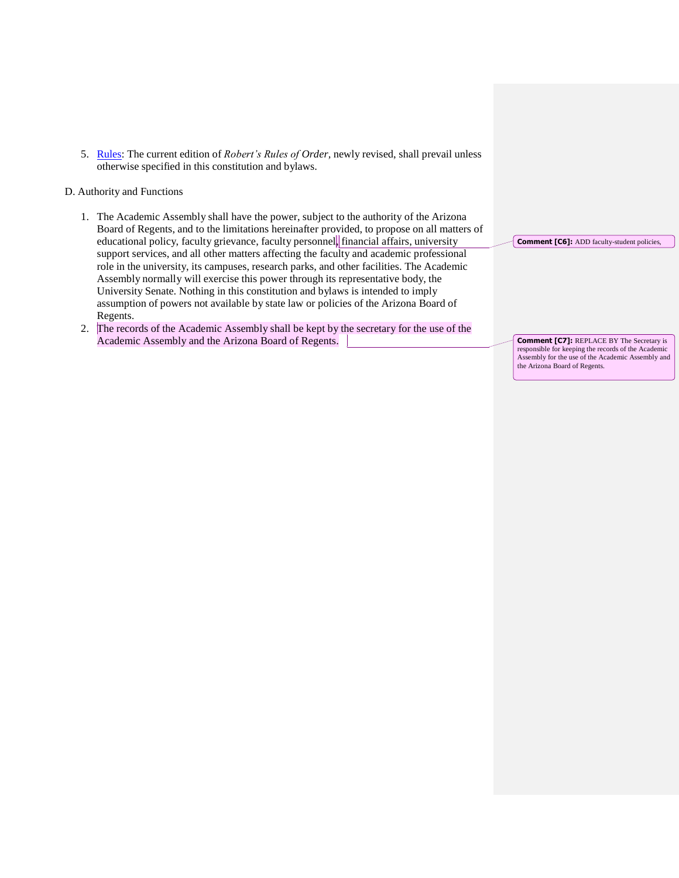5. [Rules:](http://www.asu.edu/aad/manuals/acd/acd002.html#rule) The current edition of *Robert's Rules of Order,* newly revised, shall prevail unless otherwise specified in this constitution and bylaws.

#### D. Authority and Functions

- 1. The Academic Assembly shall have the power, subject to the authority of the Arizona Board of Regents, and to the limitations hereinafter provided, to propose on all matters of educational policy, faculty grievance, faculty personnel, financial affairs, university support services, and all other matters affecting the faculty and academic professional role in the university, its campuses, research parks, and other facilities. The Academic Assembly normally will exercise this power through its representative body, the University Senate. Nothing in this constitution and bylaws is intended to imply assumption of powers not available by state law or policies of the Arizona Board of Regents.
- 2. The records of the Academic Assembly shall be kept by the secretary for the use of the Academic Assembly and the Arizona Board of Regents.

**Comment [C6]:** ADD faculty-student policies,

**Comment [C7]:** REPLACE BY The Secretary is responsible for keeping the records of the Academic Assembly for the use of the Academic Assembly and the Arizona Board of Regents.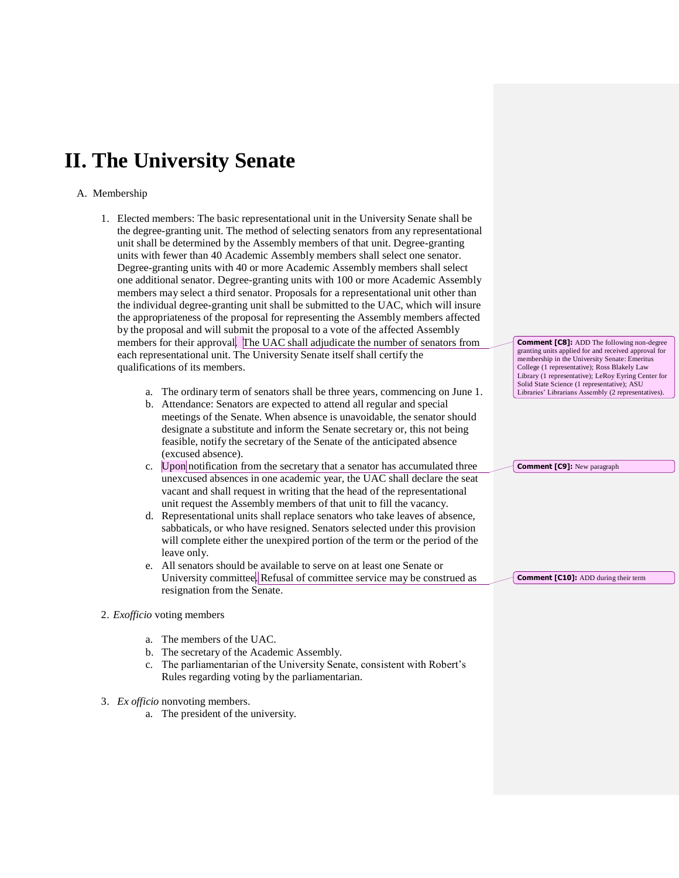# **II. The University Senate**

#### A. Membership

- 1. Elected members: The basic representational unit in the University Senate shall be the degree-granting unit. The method of selecting senators from any representational unit shall be determined by the Assembly members of that unit. Degree-granting units with fewer than 40 Academic Assembly members shall select one senator. Degree-granting units with 40 or more Academic Assembly members shall select one additional senator. Degree-granting units with 100 or more Academic Assembly members may select a third senator. Proposals for a representational unit other than the individual degree-granting unit shall be submitted to the UAC, which will insure the appropriateness of the proposal for representing the Assembly members affected by the proposal and will submit the proposal to a vote of the affected Assembly members for their approval. The UAC shall adjudicate the number of senators from each representational unit. The University Senate itself shall certify the qualifications of its members.
	- a. The ordinary term of senators shall be three years, commencing on June 1.
	- b. Attendance: Senators are expected to attend all regular and special meetings of the Senate. When absence is unavoidable, the senator should designate a substitute and inform the Senate secretary or, this not being feasible, notify the secretary of the Senate of the anticipated absence (excused absence).
	- c. Upon notification from the secretary that a senator has accumulated three unexcused absences in one academic year, the UAC shall declare the seat vacant and shall request in writing that the head of the representational unit request the Assembly members of that unit to fill the vacancy.
	- d. Representational units shall replace senators who take leaves of absence, sabbaticals, or who have resigned. Senators selected under this provision will complete either the unexpired portion of the term or the period of the leave only.
	- e. All senators should be available to serve on at least one Senate or University committee. Refusal of committee service may be construed as resignation from the Senate.
- 2. *Exofficio* voting members
	- a. The members of the UAC.
	- b. The secretary of the Academic Assembly.
	- c. The parliamentarian of the University Senate, consistent with Robert's Rules regarding voting by the parliamentarian.
- 3. *Ex officio* nonvoting members.
	- a. The president of the university.

**Comment [C8]:** ADD The following non-degree granting units applied for and received approval for membership in the University Senate: Emeritus College (1 representative); Ross Blakely Law Library (1 representative); LeRoy Eyring Center for Solid State Science (1 representative); ASU Libraries' Librarians Assembly (2 representatives).

**Comment [C9]:** New paragraph

**Comment [C10]:** ADD during their term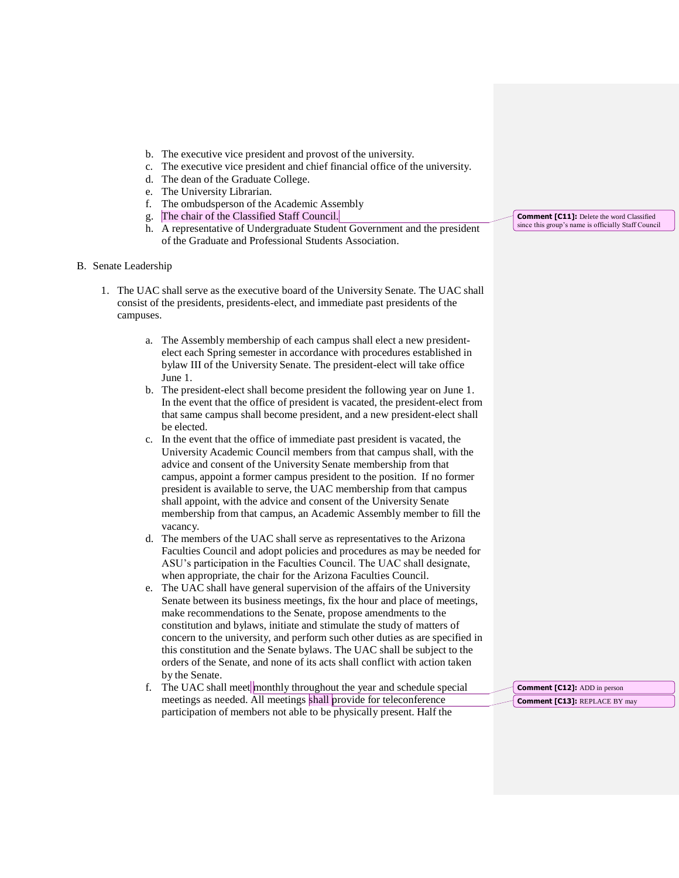- b. The executive vice president and provost of the university.
- c. The executive vice president and chief financial office of the university.
- d. The dean of the Graduate College.
- e. The University Librarian.
- f. The ombudsperson of the Academic Assembly
- g. The chair of the Classified Staff Council.
- h. A representative of Undergraduate Student Government and the president of the Graduate and Professional Students Association.
- B. Senate Leadership
	- 1. The UAC shall serve as the executive board of the University Senate. The UAC shall consist of the presidents, presidents-elect, and immediate past presidents of the campuses.
		- a. The Assembly membership of each campus shall elect a new presidentelect each Spring semester in accordance with procedures established in bylaw III of the University Senate. The president-elect will take office June 1.
		- b. The president-elect shall become president the following year on June 1. In the event that the office of president is vacated, the president-elect from that same campus shall become president, and a new president-elect shall be elected.
		- c. In the event that the office of immediate past president is vacated, the University Academic Council members from that campus shall, with the advice and consent of the University Senate membership from that campus, appoint a former campus president to the position. If no former president is available to serve, the UAC membership from that campus shall appoint, with the advice and consent of the University Senate membership from that campus, an Academic Assembly member to fill the vacancy.
		- d. The members of the UAC shall serve as representatives to the Arizona Faculties Council and adopt policies and procedures as may be needed for ASU's participation in the Faculties Council. The UAC shall designate, when appropriate, the chair for the Arizona Faculties Council.
		- e. The UAC shall have general supervision of the affairs of the University Senate between its business meetings, fix the hour and place of meetings, make recommendations to the Senate, propose amendments to the constitution and bylaws, initiate and stimulate the study of matters of concern to the university, and perform such other duties as are specified in this constitution and the Senate bylaws. The UAC shall be subject to the orders of the Senate, and none of its acts shall conflict with action taken by the Senate.
		- f. The UAC shall meet monthly throughout the year and schedule special meetings as needed. All meetings shall provide for teleconference participation of members not able to be physically present. Half the

**Comment [C11]:** Delete the word Classified since this group's name is officially Staff Council

**Comment [C12]:** ADD in person **Comment [C13]:** REPLACE BY may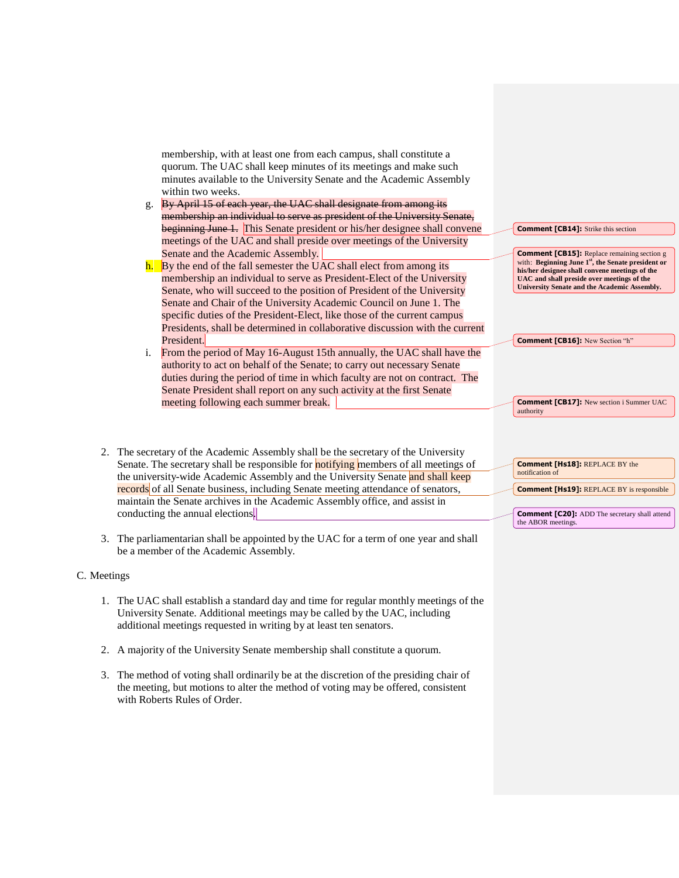membership, with at least one from each campus, shall constitute a quorum. The UAC shall keep minutes of its meetings and make such minutes available to the University Senate and the Academic Assembly within two weeks.

- g. By April 15 of each year, the UAC shall designate from among its membership an individual to serve as president of the University Senate, beginning June 1. This Senate president or his/her designee shall convene meetings of the UAC and shall preside over meetings of the University Senate and the Academic Assembly.
- h. By the end of the fall semester the UAC shall elect from among its membership an individual to serve as President-Elect of the University Senate, who will succeed to the position of President of the University Senate and Chair of the University Academic Council on June 1. The specific duties of the President-Elect, like those of the current campus Presidents, shall be determined in collaborative discussion with the current President.
- i. From the period of May 16-August 15th annually, the UAC shall have the authority to act on behalf of the Senate; to carry out necessary Senate duties during the period of time in which faculty are not on contract. The Senate President shall report on any such activity at the first Senate meeting following each summer break.
- 2. The secretary of the Academic Assembly shall be the secretary of the University Senate. The secretary shall be responsible for **notifying** members of all meetings of the university-wide Academic Assembly and the University Senate and shall keep records of all Senate business, including Senate meeting attendance of senators, maintain the Senate archives in the Academic Assembly office, and assist in conducting the annual elections.
- 3. The parliamentarian shall be appointed by the UAC for a term of one year and shall be a member of the Academic Assembly.

#### C. Meetings

- 1. The UAC shall establish a standard day and time for regular monthly meetings of the University Senate. Additional meetings may be called by the UAC, including additional meetings requested in writing by at least ten senators.
- 2. A majority of the University Senate membership shall constitute a quorum.
- 3. The method of voting shall ordinarily be at the discretion of the presiding chair of the meeting, but motions to alter the method of voting may be offered, consistent with Roberts Rules of Order.

#### **Comment [CB14]:** Strike this section

**Comment [CB15]:** Replace remaining section g with: **Beginning June 1st, the Senate president or his/her designee shall convene meetings of the UAC and shall preside over meetings of the University Senate and the Academic Assembly.**

**Comment [CB16]:** New Section "h"

**Comment [CB17]:** New section i Summer UAC authority

**Comment [Hs18]:** REPLACE BY the notification of

**Comment [Hs19]:** REPLACE BY is responsible

**Comment [C20]:** ADD The secretary shall attend the ABOR meetings.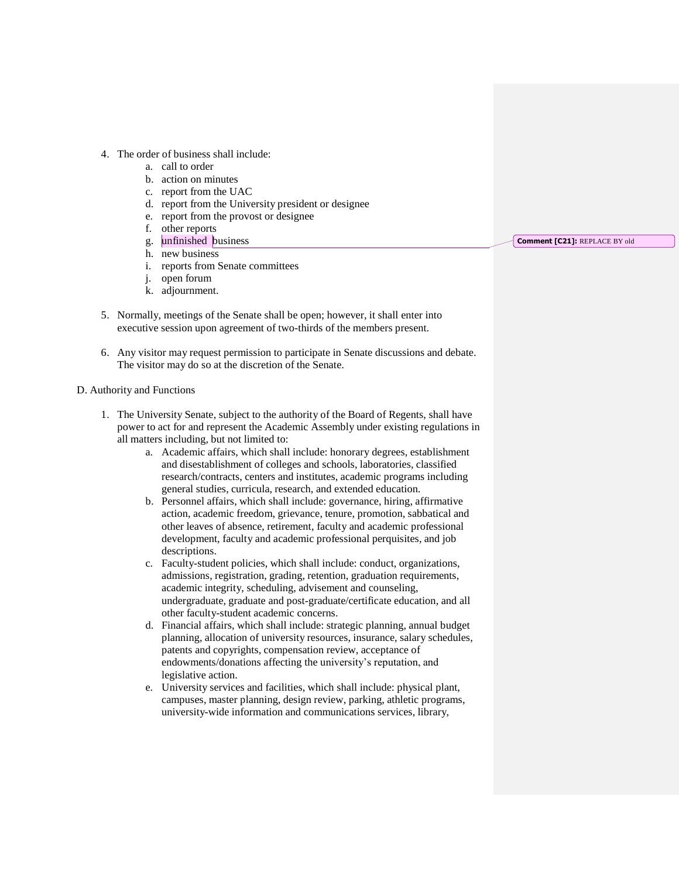- 4. The order of business shall include:
	- a. call to order
	- b. action on minutes
	- c. report from the UAC
	- d. report from the University president or designee
	- e. report from the provost or designee
	- f. other reports
	- g. unfinished business
	- h. new business
	- i. reports from Senate committees
	- j. open forum
	- k. adjournment.
- 5. Normally, meetings of the Senate shall be open; however, it shall enter into executive session upon agreement of two-thirds of the members present.
- 6. Any visitor may request permission to participate in Senate discussions and debate. The visitor may do so at the discretion of the Senate.

#### D. Authority and Functions

- 1. The University Senate, subject to the authority of the Board of Regents, shall have power to act for and represent the Academic Assembly under existing regulations in all matters including, but not limited to:
	- a. Academic affairs, which shall include: honorary degrees, establishment and disestablishment of colleges and schools, laboratories, classified research/contracts, centers and institutes, academic programs including general studies, curricula, research, and extended education.
	- b. Personnel affairs, which shall include: governance, hiring, [affirmative](http://www.asu.edu/aad/manuals/acd/acd002.html#affirmativeaction)  [action,](http://www.asu.edu/aad/manuals/acd/acd002.html#affirmativeaction) [academic freedom,](http://www.asu.edu/aad/manuals/acd/acd002.html#academicfreedom) grievance, tenure, promotion, sabbatical and other leaves of absence, retirement, faculty and academic professional development, faculty and academic professional perquisites, and job descriptions.
	- c. Faculty-student policies, which shall include: conduct, organizations, admissions, registration, grading, retention, graduation requirements, academic integrity, scheduling, advisement and counseling, undergraduate, graduate and post-graduate/certificate education, and all other faculty-student academic concerns.
	- d. Financial affairs, which shall include: strategic planning, annual budget planning, allocation of university resources, insurance, salary schedules, patents and copyrights, compensation review, acceptance of endowments/donations affecting the university's reputation, and legislative action.
	- e. University services and facilities, which shall include: physical plant, campuses, master planning, design review, parking, athletic programs, university-wide information and communications services, library,

**Comment [C21]:** REPLACE BY old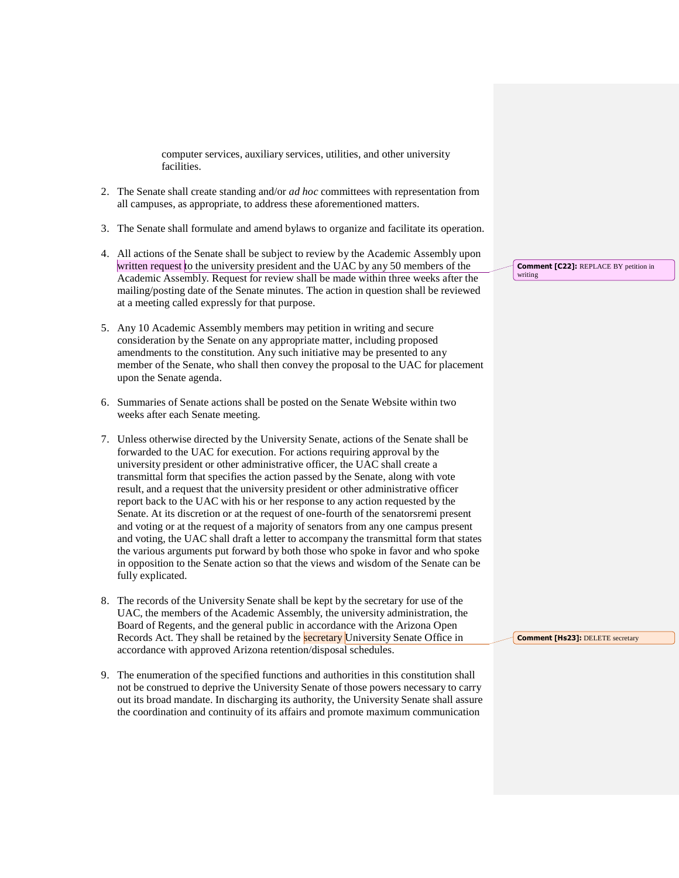computer services, auxiliary services, utilities, and other university facilities.

- 2. The Senate shall create standing and/or *ad hoc* committees with representation from all campuses, as appropriate, to address these aforementioned matters.
- 3. The Senate shall formulate and amend bylaws to organize and facilitate its operation.
- 4. All actions of the Senate shall be subject to review by the Academic Assembly upon written request to the university president and the UAC by any 50 members of the Academic Assembly. Request for review shall be made within three weeks after the mailing/posting date of the Senate minutes. The action in question shall be reviewed at a meeting called expressly for that purpose.
- 5. Any 10 Academic Assembly members may petition in writing and secure consideration by the Senate on any appropriate matter, including proposed amendments to the constitution. Any such initiative may be presented to any member of the Senate, who shall then convey the proposal to the UAC for placement upon the Senate agenda.
- 6. Summaries of Senate actions shall be posted on the Senate Website within two weeks after each Senate meeting.
- 7. Unless otherwise directed by the University Senate, actions of the Senate shall be forwarded to the UAC for execution. For actions requiring approval by the university president or other administrative officer, the UAC shall create a transmittal form that specifies the action passed by the Senate, along with vote result, and a request that the university president or other administrative officer report back to the UAC with his or her response to any action requested by the Senate. At its discretion or at the request of one-fourth of the senatorsremi present and voting or at the request of a majority of senators from any one campus present and voting, the UAC shall draft a letter to accompany the transmittal form that states the various arguments put forward by both those who spoke in favor and who spoke in opposition to the Senate action so that the views and wisdom of the Senate can be fully explicated.
- 8. The records of the University Senate shall be kept by the secretary for use of the UAC, the members of the Academic Assembly, the university administration, the Board of Regents, and the general public in accordance with the Arizona Open Records Act. They shall be retained by the **secretary** University Senate Office in accordance with approved Arizona retention/disposal schedules.
- 9. The enumeration of the specified functions and authorities in this constitution shall not be construed to deprive the University Senate of those powers necessary to carry out its broad mandate. In discharging its authority, the University Senate shall assure the coordination and continuity of its affairs and promote maximum communication

**Comment [C22]:** REPLACE BY petition in writing

**Comment [Hs23]: DELETE secretary**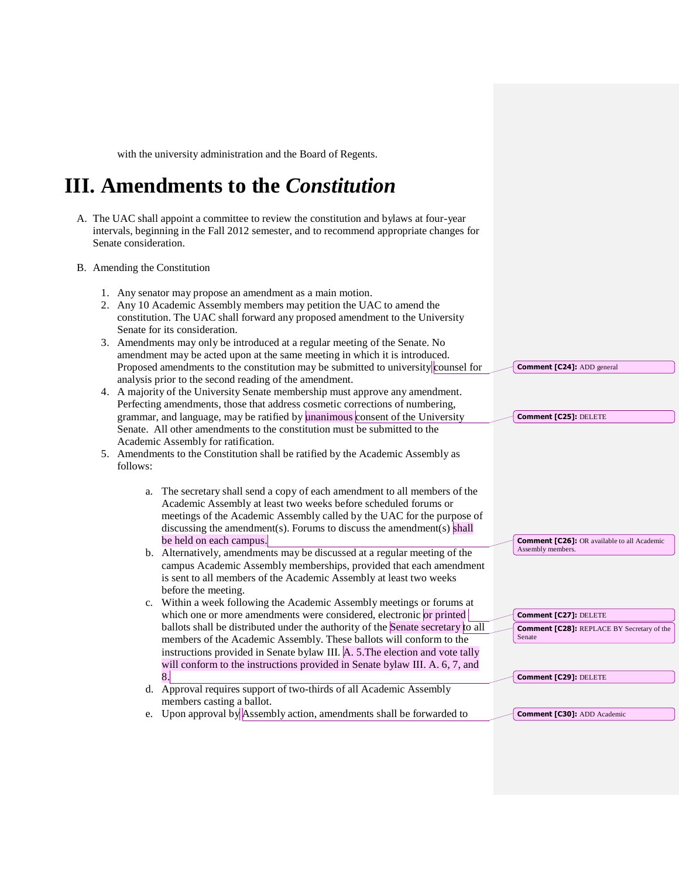with the university administration and the Board of Regents.

# **III. Amendments to the** *Constitution*

- A. The UAC shall appoint a committee to review the constitution and bylaws at four-year intervals, beginning in the Fall 2012 semester, and to recommend appropriate changes for Senate consideration.
- B. Amending the Constitution
	- 1. Any senator may propose an amendment as a main motion.
	- 2. Any 10 Academic Assembly members may petition the UAC to amend the constitution. The UAC shall forward any proposed amendment to the University Senate for its consideration.
	- 3. Amendments may only be introduced at a regular meeting of the Senate. No amendment may be acted upon at the same meeting in which it is introduced. Proposed amendments to the constitution may be submitted to university counsel for analysis prior to the second reading of the amendment.
	- 4. A majority of the University Senate membership must approve any amendment. Perfecting amendments, those that address cosmetic corrections of numbering, grammar, and language, may be ratified by unanimous consent of the University Senate. All other amendments to the constitution must be submitted to the Academic Assembly for ratification.
	- 5. Amendments to the Constitution shall be ratified by the Academic Assembly as follows:
		- a. The secretary shall send a copy of each amendment to all members of the Academic Assembly at least two weeks before scheduled forums or meetings of the Academic Assembly called by the UAC for the purpose of discussing the amendment(s). Forums to discuss the amendment(s) shall be held on each campus.
		- b. Alternatively, amendments may be discussed at a regular meeting of the campus Academic Assembly memberships, provided that each amendment is sent to all members of the Academic Assembly at least two weeks before the meeting.
		- c. Within a week following the Academic Assembly meetings or forums at which one or more amendments were considered, electronic or printed ballots shall be distributed under the authority of the Senate secretary to all members of the Academic Assembly. These ballots will conform to the instructions provided in Senate bylaw III. A. 5.The election and vote tally will conform to the instructions provided in Senate bylaw III. A. 6, 7, and 8.
		- d. Approval requires support of two-thirds of all Academic Assembly members casting a ballot.
		- e. Upon approval by Assembly action, amendments shall be forwarded to

**Comment [C24]:** ADD general

**Comment [C25]:** DELETE

**Comment [C26]:** OR available to all Academic Assembly members.

**Comment [C27]:** DELETE **Comment [C28]:** REPLACE BY Secretary of the Senate

**Comment [C29]:** DELETE

**Comment [C30]:** ADD Academic